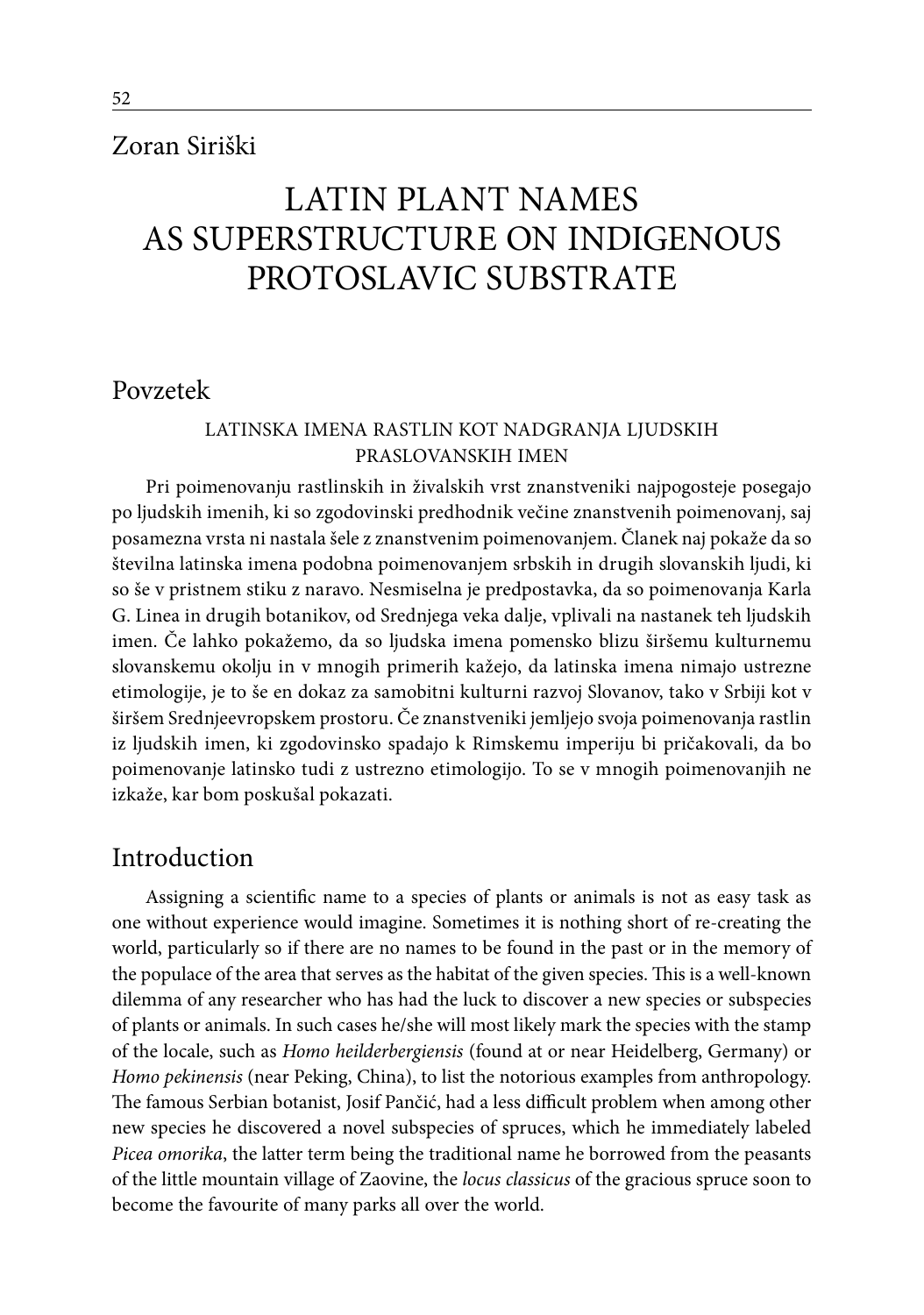# Zoran Siriški

# LATIN PLANT NAMES AS SUPERSTRUCTURE ON INDIGENOUS PROTOSLAVIC SUBSTRATE

## Povzetek

### Latinska imena rastlin kot nadgranja ljudskih praslovanskih imen

Pri poimenovanju rastlinskih in živalskih vrst znanstveniki najpogosteje posegajo po ljudskih imenih, ki so zgodovinski predhodnik večine znanstvenih poimenovanj, saj posamezna vrsta ni nastala šele z znanstvenim poimenovanjem. Članek naj pokaže da so številna latinska imena podobna poimenovanjem srbskih in drugih slovanskih ljudi, ki so še v pristnem stiku z naravo. Nesmiselna je predpostavka, da so poimenovanja Karla G. Linea in drugih botanikov, od Srednjega veka dalje, vplivali na nastanek teh ljudskih imen. Če lahko pokažemo, da so ljudska imena pomensko blizu širšemu kulturnemu slovanskemu okolju in v mnogih primerih kažejo, da latinska imena nimajo ustrezne etimologije, je to še en dokaz za samobitni kulturni razvoj Slovanov, tako v Srbiji kot v širšem Srednjeevropskem prostoru. Če znanstveniki jemljejo svoja poimenovanja rastlin iz ljudskih imen, ki zgodovinsko spadajo k Rimskemu imperiju bi pričakovali, da bo poimenovanje latinsko tudi z ustrezno etimologijo. To se v mnogih poimenovanjih ne izkaže, kar bom poskušal pokazati.

## Introduction

Assigning a scientific name to a species of plants or animals is not as easy task as one without experience would imagine. Sometimes it is nothing short of re-creating the world, particularly so if there are no names to be found in the past or in the memory of the populace of the area that serves as the habitat of the given species. This is a well-known dilemma of any researcher who has had the luck to discover a new species or subspecies of plants or animals. In such cases he/she will most likely mark the species with the stamp of the locale, such as *Homo heilderbergiensis* (found at or near Heidelberg, Germany) or *Homo pekinensis* (near Peking, China), to list the notorious examples from anthropology. The famous Serbian botanist, Josif Pančić, had a less difficult problem when among other new species he discovered a novel subspecies of spruces, which he immediately labeled *Picea omorika*, the latter term being the traditional name he borrowed from the peasants of the little mountain village of Zaovine, the *locus classicus* of the gracious spruce soon to become the favourite of many parks all over the world.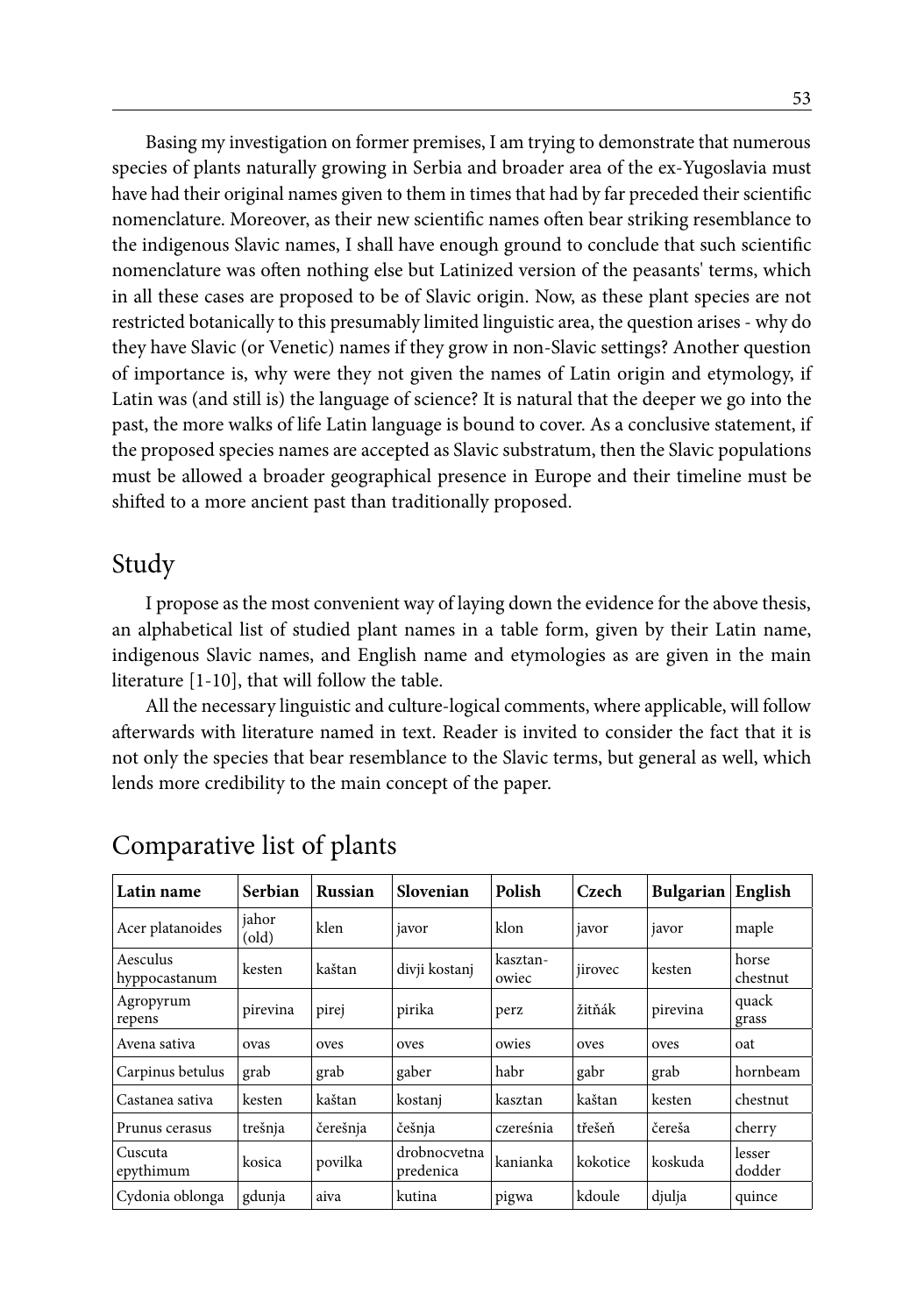Basing my investigation on former premises, I am trying to demonstrate that numerous species of plants naturally growing in Serbia and broader area of the ex-Yugoslavia must have had their original names given to them in times that had by far preceded their scientific nomenclature. Moreover, as their new scientific names often bear striking resemblance to the indigenous Slavic names, I shall have enough ground to conclude that such scientific nomenclature was often nothing else but Latinized version of the peasants' terms, which in all these cases are proposed to be of Slavic origin. Now, as these plant species are not restricted botanically to this presumably limited linguistic area, the question arises - why do they have Slavic (or Venetic) names if they grow in non-Slavic settings? Another question of importance is, why were they not given the names of Latin origin and etymology, if Latin was (and still is) the language of science? It is natural that the deeper we go into the past, the more walks of life Latin language is bound to cover. As a conclusive statement, if the proposed species names are accepted as Slavic substratum, then the Slavic populations must be allowed a broader geographical presence in Europe and their timeline must be shifted to a more ancient past than traditionally proposed.

# Study

I propose as the most convenient way of laying down the evidence for the above thesis, an alphabetical list of studied plant names in a table form, given by their Latin name, indigenous Slavic names, and English name and etymologies as are given in the main literature [1-10], that will follow the table.

All the necessary linguistic and culture-logical comments, where applicable, will follow afterwards with literature named in text. Reader is invited to consider the fact that it is not only the species that bear resemblance to the Slavic terms, but general as well, which lends more credibility to the main concept of the paper.

| Latin name                | Serbian                              | <b>Russian</b> | Slovenian                 | Polish            | Czech    | Bulgarian | English           |
|---------------------------|--------------------------------------|----------------|---------------------------|-------------------|----------|-----------|-------------------|
| Acer platanoides          | jahor<br>$\left( \text{old} \right)$ | klen           | javor                     | klon              | javor    | javor     | maple             |
| Aesculus<br>hyppocastanum | kesten                               | kaštan         | divji kostanj             | kasztan-<br>owiec | jirovec  | kesten    | horse<br>chestnut |
| Agropyrum<br>repens       | pirevina                             | pirej          | pirika                    | perz              | žitňák   | pirevina  | quack<br>grass    |
| Avena sativa              | ovas                                 | oves           | oves                      | owies             | oves     | oves      | oat               |
| Carpinus betulus          | grab                                 | grab           | gaber                     | habr              | gabr     | grab      | hornbeam          |
| Castanea sativa           | kesten                               | kaštan         | kostani                   | kasztan           | kaštan   | kesten    | chestnut          |
| Prunus cerasus            | trešnja                              | čerešnja       | češnja                    | czereśnia         | třešeň   | čereša    | cherry            |
| Cuscuta<br>epythimum      | kosica                               | povilka        | drobnocvetna<br>predenica | kanianka          | kokotice | koskuda   | lesser<br>dodder  |
| Cydonia oblonga           | gdunja                               | aiva           | kutina                    | pigwa             | kdoule   | djulja    | quince            |

# Comparative list of plants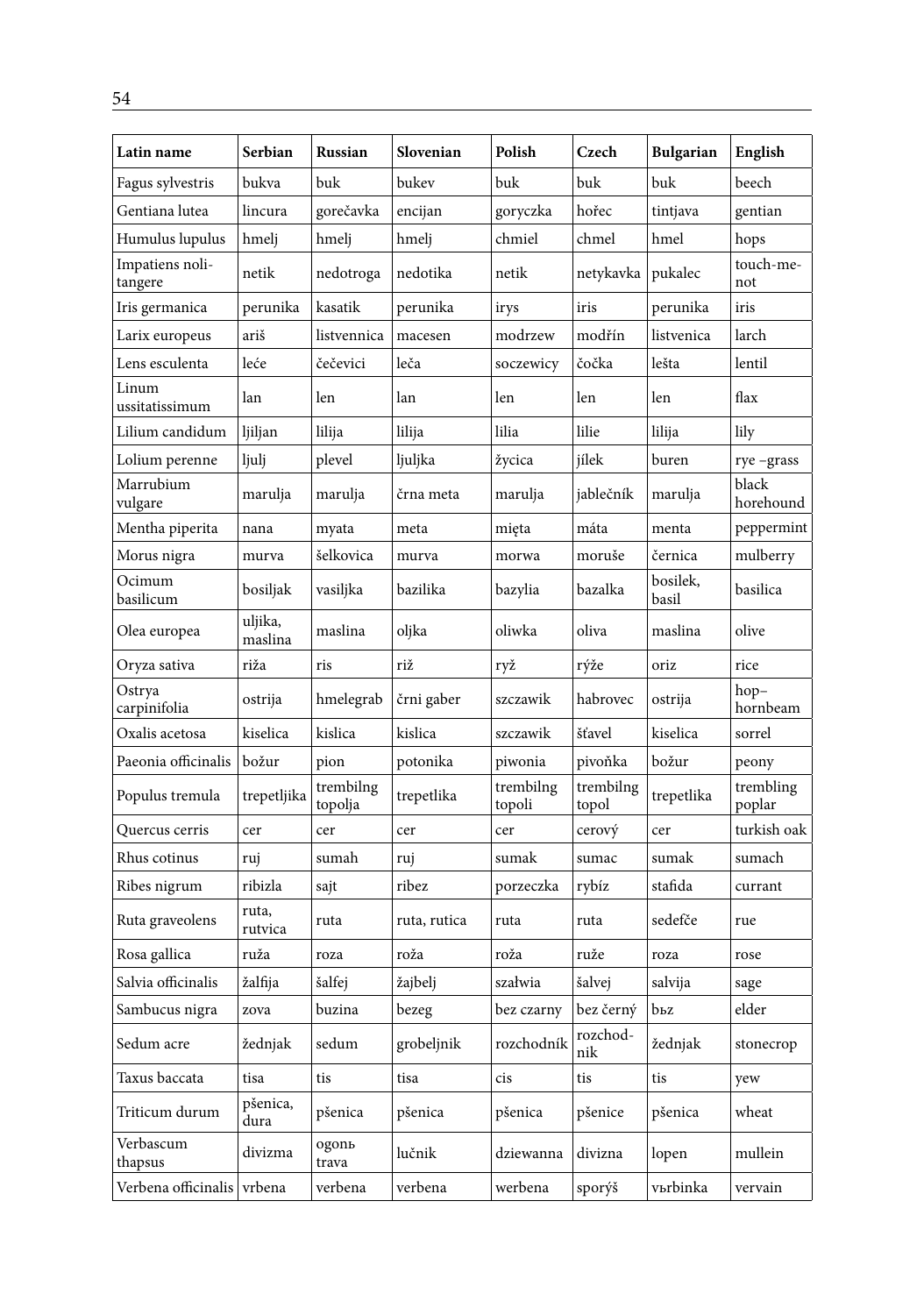| Latin name                 | Serbian            | Russian              | Slovenian    | Polish              | Czech              | <b>Bulgarian</b>  | English             |
|----------------------------|--------------------|----------------------|--------------|---------------------|--------------------|-------------------|---------------------|
| Fagus sylvestris           | bukva              | buk                  | bukev        | buk                 | buk                | buk               | beech               |
| Gentiana lutea             | lincura            | gorečavka            | encijan      | goryczka            | hořec              | tintjava          | gentian             |
| Humulus lupulus            | hmelj              | hmelj                | hmelj        | chmiel              | chmel              | hmel              | hops                |
| Impatiens noli-<br>tangere | netik              | nedotroga            | nedotika     | netik               | netykavka          | pukalec           | touch-me-<br>not    |
| Iris germanica             | perunika           | kasatik              | perunika     | irys                | iris               | perunika          | iris                |
| Larix europeus             | ariš               | listvennica          | macesen      | modrzew             | modřín             | listvenica        | larch               |
| Lens esculenta             | leće               | čečevici             | leča         | soczewicy           | čočka              | lešta             | lentil              |
| Linum<br>ussitatissimum    | lan                | len                  | lan          | len                 | len                | len               | flax                |
| Lilium candidum            | ljiljan            | lilija               | lilija       | lilia               | lilie              | lilija            | lily                |
| Lolium perenne             | ljulj              | plevel               | ljuljka      | žycica              | jílek              | buren             | rye-grass           |
| Marrubium<br>vulgare       | marulja            | marulja              | črna meta    | marulja             | jablečník          | marulja           | black<br>horehound  |
| Mentha piperita            | nana               | myata                | meta         | mięta               | máta               | menta             | peppermint          |
| Morus nigra                | murva              | šelkovica            | murva        | morwa               | moruše             | černica           | mulberry            |
| Ocimum<br>basilicum        | bosiljak           | vasiljka             | bazilika     | bazylia             | bazalka            | bosilek,<br>basil | basilica            |
| Olea europea               | uljika,<br>maslina | maslina              | oljka        | oliwka              | oliva              | maslina           | olive               |
| Oryza sativa               | riža               | ris                  | riž          | ryž                 | rýže               | oriz.             | rice                |
| Ostrya<br>carpinifolia     | ostrija            | hmelegrab            | črni gaber   | szczawik            | habrovec           | ostrija           | hop-<br>hornbeam    |
| Oxalis acetosa             | kiselica           | kislica              | kislica      | szczawik            | šťavel             | kiselica          | sorrel              |
| Paeonia officinalis        | božur              | pion                 | potonika     | piwonia             | pivoňka            | božur             | peony               |
| Populus tremula            | trepetljika        | trembilng<br>topolja | trepetlika   | trembilng<br>topoli | trembilng<br>topol | trepetlika        | trembling<br>poplar |
| Quercus cerris             | cer                | cer                  | cer          | cer                 | cerový             | cer               | turkish oak         |
| Rhus cotinus               | ruj                | sumah                | ruj          | sumak               | sumac              | sumak             | sumach              |
| Ribes nigrum               | ribizla            | sajt                 | ribez        | porzeczka           | rybíz              | stafida           | currant             |
| Ruta graveolens            | ruta,<br>rutvica   | ruta                 | ruta, rutica | ruta                | ruta               | sedefče           | rue                 |
| Rosa gallica               | ruža               | roza                 | roža         | roža                | ruže               | roza              | rose                |
| Salvia officinalis         | žalfija            | šalfej               | žajbelj      | szałwia             | šalvej             | salvija           | sage                |
| Sambucus nigra             | zova               | buzina               | bezeg        | bez czarny          | bez černý          | bьz               | elder               |
| Sedum acre                 | žednjak            | sedum                | grobeljnik   | rozchodník          | rozchod-<br>nik    | žednjak           | stonecrop           |
| Taxus baccata              | tisa               | tis                  | tisa         | cis                 | tis                | tis               | yew                 |
| Triticum durum             | pšenica,<br>dura   | pšenica              | pšenica      | pšenica             | pšenice            | pšenica           | wheat               |
| Verbascum<br>thapsus       | divizma            | ogonь<br>trava       | lučnik       | dziewanna           | divizna            | lopen             | mullein             |
| Verbena officinalis vrbena |                    | verbena              | verbena      | werbena             | sporýš             | vьrbinka          | vervain             |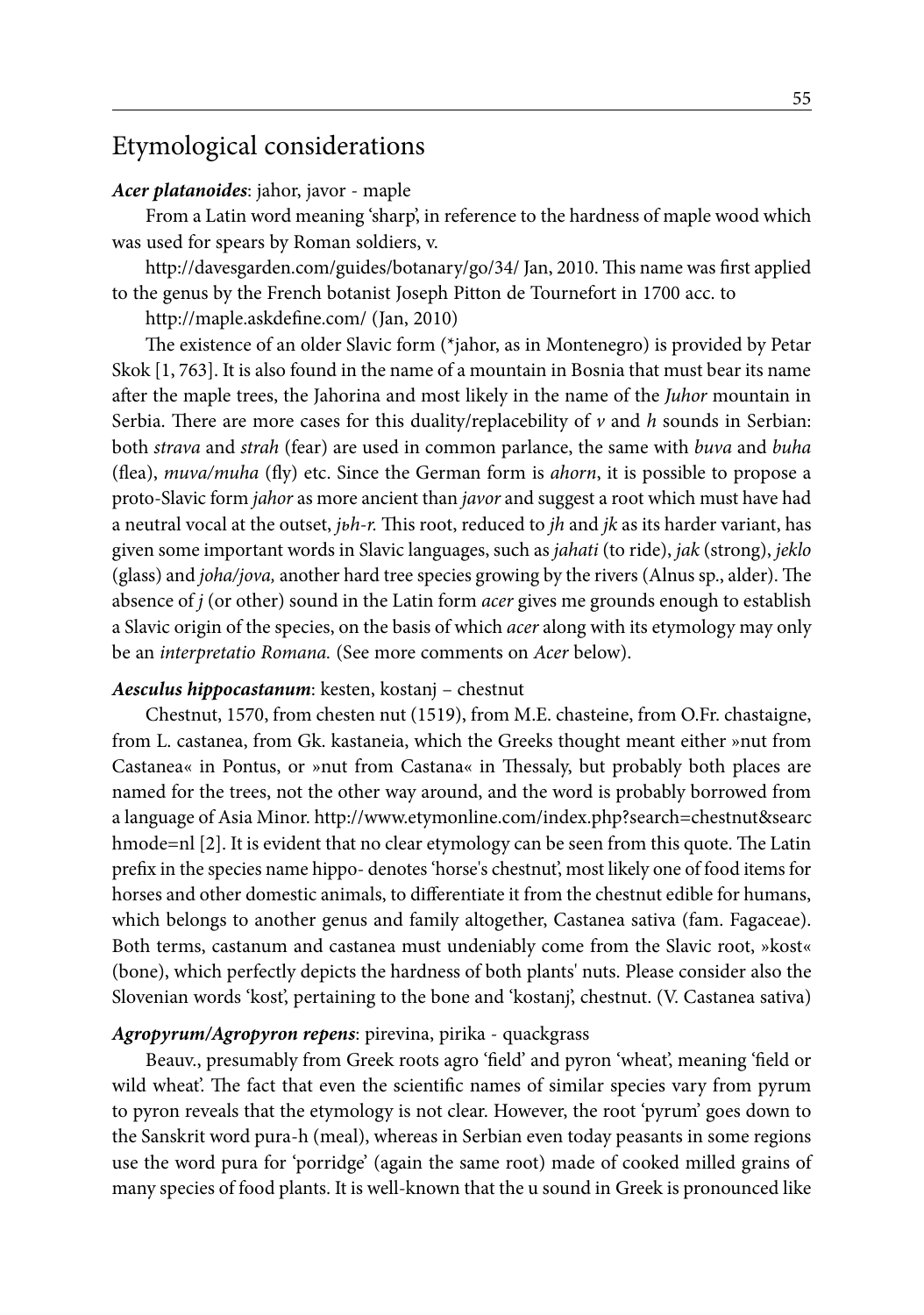# Etymological considerations

#### *Acer platanoides*: jahor, javor - maple

From a Latin word meaning 'sharp', in reference to the hardness of maple wood which was used for spears by Roman soldiers, v.

http://davesgarden.com/guides/botanary/go/34/ Jan, 2010. This name was first applied to the genus by the French botanist Joseph Pitton de Tournefort in 1700 acc. to

http://maple.askdefine.com/ (Jan, 2010)

The existence of an older Slavic form (\*jahor, as in Montenegro) is provided by Petar Skok [1, 763]. It is also found in the name of a mountain in Bosnia that must bear its name after the maple trees, the Jahorina and most likely in the name of the *Juhor* mountain in Serbia. There are more cases for this duality/replacebility of  $\nu$  and  $h$  sounds in Serbian: both *strava* and *strah* (fear) are used in common parlance, the same with *buva* and *buha*  (flea), *muva/muha* (fly) etc. Since the German form is *ahorn*, it is possible to propose a proto-Slavic form *jahor* as more ancient than *javor* and suggest a root which must have had a neutral vocal at the outset, *jьh-r.* This root, reduced to *jh* and *jk* as its harder variant, has given some important words in Slavic languages, such as *jahati* (to ride), *jak* (strong), *jeklo* (glass) and *joha/jova,* another hard tree species growing by the rivers (Alnus sp., alder). The absence of *j* (or other) sound in the Latin form *acer* gives me grounds enough to establish a Slavic origin of the species, on the basis of which *acer* along with its etymology may only be an *interpretatio Romana.* (See more comments on *Acer* below).

#### *Aesculus hippocastanum*: kesten, kostanj – chestnut

Chestnut, 1570, from chesten nut (1519), from M.E. chasteine, from O.Fr. chastaigne, from L. castanea, from Gk. kastaneia, which the Greeks thought meant either »nut from Castanea« in Pontus, or »nut from Castana« in Thessaly, but probably both places are named for the trees, not the other way around, and the word is probably borrowed from a language of Asia Minor. http://www.etymonline.com/index.php?search=chestnut&searc hmode=nl [2]. It is evident that no clear etymology can be seen from this quote. The Latin prefix in the species name hippo- denotes 'horse's chestnut', most likely one of food items for horses and other domestic animals, to differentiate it from the chestnut edible for humans, which belongs to another genus and family altogether, Castanea sativa (fam. Fagaceae). Both terms, castanum and castanea must undeniably come from the Slavic root, »kost« (bone), which perfectly depicts the hardness of both plants' nuts. Please consider also the Slovenian words 'kost', pertaining to the bone and 'kostanj', chestnut. (V. Castanea sativa)

#### *Agropyrum/Agropyron repens*: pirevina, pirika - quackgrass

Beauv., presumably from Greek roots agro 'field' and pyron 'wheat', meaning 'field or wild wheat'. The fact that even the scientific names of similar species vary from pyrum to pyron reveals that the etymology is not clear. However, the root 'pyrum' goes down to the Sanskrit word pura-h (meal), whereas in Serbian even today peasants in some regions use the word pura for 'porridge' (again the same root) made of cooked milled grains of many species of food plants. It is well-known that the u sound in Greek is pronounced like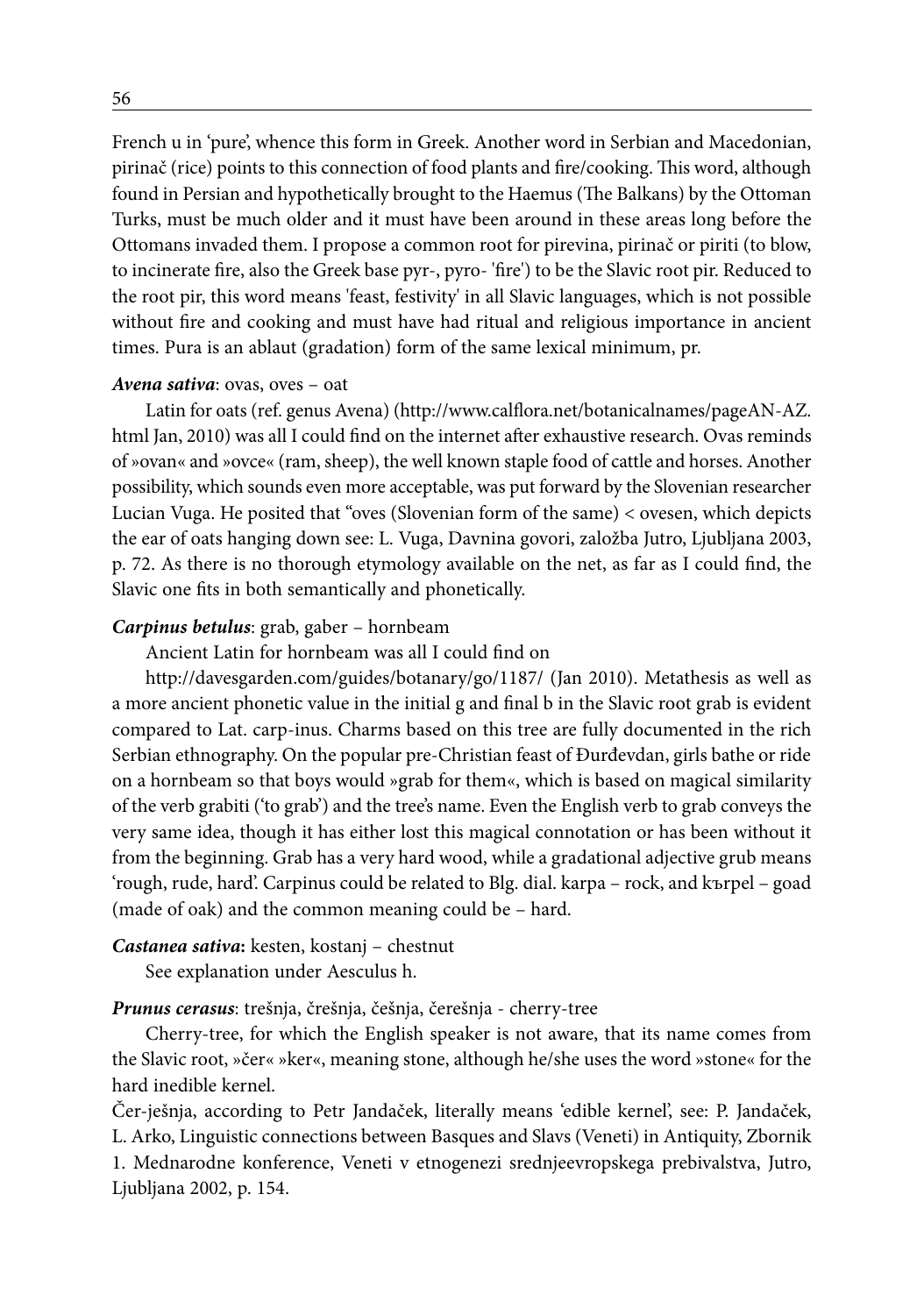French u in 'pure', whence this form in Greek. Another word in Serbian and Macedonian, pirinač (rice) points to this connection of food plants and fire/cooking. This word, although found in Persian and hypothetically brought to the Haemus (The Balkans) by the Ottoman Turks, must be much older and it must have been around in these areas long before the Ottomans invaded them. I propose a common root for pirevina, pirinač or piriti (to blow, to incinerate fire, also the Greek base pyr-, pyro- 'fire') to be the Slavic root pir. Reduced to the root pir, this word means 'feast, festivity' in all Slavic languages, which is not possible without fire and cooking and must have had ritual and religious importance in ancient times. Pura is an ablaut (gradation) form of the same lexical minimum, pr.

#### *Avena sativa*: ovas, oves – oat

Latin for oats (ref. genus Avena) (http://www.calflora.net/botanicalnames/pageAN-AZ. html Jan, 2010) was all I could find on the internet after exhaustive research. Ovas reminds of »ovan« and »ovce« (ram, sheep), the well known staple food of cattle and horses. Another possibility, which sounds even more acceptable, was put forward by the Slovenian researcher Lucian Vuga. He posited that "oves (Slovenian form of the same) < ovesen, which depicts the ear of oats hanging down see: L. Vuga, Davnina govori, založba Jutro, Ljubljana 2003, p. 72. As there is no thorough etymology available on the net, as far as I could find, the Slavic one fits in both semantically and phonetically.

#### *Carpinus betulus*: grab, gaber – hornbeam

Ancient Latin for hornbeam was all I could find on

http://davesgarden.com/guides/botanary/go/1187/ (Jan 2010). Metathesis as well as a more ancient phonetic value in the initial g and final b in the Slavic root grab is evident compared to Lat. carp-inus. Charms based on this tree are fully documented in the rich Serbian ethnography. On the popular pre-Christian feast of Đurđevdan, girls bathe or ride on a hornbeam so that boys would »grab for them«, which is based on magical similarity of the verb grabiti ('to grab') and the tree's name. Even the English verb to grab conveys the very same idea, though it has either lost this magical connotation or has been without it from the beginning. Grab has a very hard wood, while a gradational adjective grub means 'rough, rude, hard'. Carpinus could be related to Blg. dial. karpa – rock, and kъrpel – goad (made of oak) and the common meaning could be – hard.

### *Castanea sativa***:** kesten, kostanj – chestnut

See explanation under Aesculus h.

#### *Prunus cerasus*: trešnja, črešnja, češnja, čerešnja - cherry-tree

Cherry-tree, for which the English speaker is not aware, that its name comes from the Slavic root, »čer« »ker«, meaning stone, although he/she uses the word »stone« for the hard inedible kernel.

Čer-ješnja, according to Petr Jandaček, literally means 'edible kernel', see: P. Jandaček, L. Arko, Linguistic connections between Basques and Slavs (Veneti) in Antiquity, Zbornik 1. Mednarodne konference, Veneti v etnogenezi srednjeevropskega prebivalstva, Jutro, Ljubljana 2002, p. 154.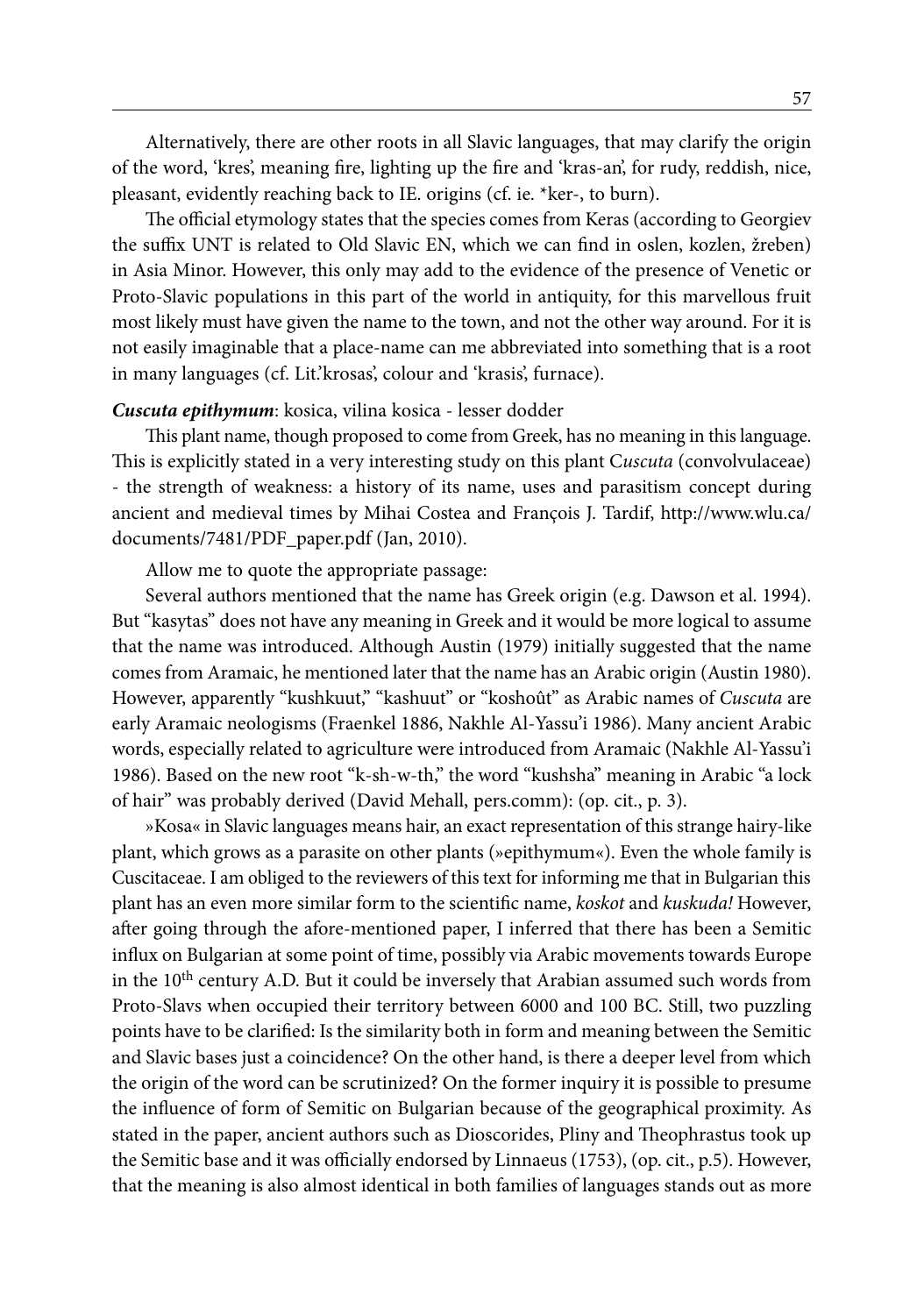Alternatively, there are other roots in all Slavic languages, that may clarify the origin of the word, 'kres', meaning fire, lighting up the fire and 'kras-an', for rudy, reddish, nice, pleasant, evidently reaching back to IE. origins (cf. ie. \*ker-, to burn).

The official etymology states that the species comes from Keras (according to Georgiev the suffix UNT is related to Old Slavic EN, which we can find in oslen, kozlen, žreben) in Asia Minor. However, this only may add to the evidence of the presence of Venetic or Proto-Slavic populations in this part of the world in antiquity, for this marvellous fruit most likely must have given the name to the town, and not the other way around. For it is not easily imaginable that a place-name can me abbreviated into something that is a root in many languages (cf. Lit.'krosas', colour and 'krasis', furnace).

#### *Cuscuta epithymum*: kosica, vilina kosica - lesser dodder

This plant name, though proposed to come from Greek, has no meaning in this language. This is explicitly stated in a very interesting study on this plant C*uscuta* (convolvulaceae) - the strength of weakness: a history of its name, uses and parasitism concept during ancient and medieval times by Mihai Costea and François J. Tardif, http://www.wlu.ca/ documents/7481/PDF\_paper.pdf (Jan, 2010).

Allow me to quote the appropriate passage:

Several authors mentioned that the name has Greek origin (e.g. Dawson et al. 1994). But "kasytas" does not have any meaning in Greek and it would be more logical to assume that the name was introduced. Although Austin (1979) initially suggested that the name comes from Aramaic, he mentioned later that the name has an Arabic origin (Austin 1980). However, apparently "kushkuut," "kashuut" or "koshoût" as Arabic names of *Cuscuta* are early Aramaic neologisms (Fraenkel 1886, Nakhle Al-Yassu'i 1986). Many ancient Arabic words, especially related to agriculture were introduced from Aramaic (Nakhle Al-Yassu'i 1986). Based on the new root "k-sh-w-th," the word "kushsha" meaning in Arabic "a lock of hair" was probably derived (David Mehall, pers.comm): (op. cit., p. 3).

»Kosa« in Slavic languages means hair, an exact representation of this strange hairy-like plant, which grows as a parasite on other plants (»epithymum«). Even the whole family is Cuscitaceae. I am obliged to the reviewers of this text for informing me that in Bulgarian this plant has an even more similar form to the scientific name, *koskot* and *kuskuda!* However, after going through the afore-mentioned paper, I inferred that there has been a Semitic influx on Bulgarian at some point of time, possibly via Arabic movements towards Europe in the  $10<sup>th</sup>$  century A.D. But it could be inversely that Arabian assumed such words from Proto-Slavs when occupied their territory between 6000 and 100 BC. Still, two puzzling points have to be clarified: Is the similarity both in form and meaning between the Semitic and Slavic bases just a coincidence? On the other hand, is there a deeper level from which the origin of the word can be scrutinized? On the former inquiry it is possible to presume the influence of form of Semitic on Bulgarian because of the geographical proximity. As stated in the paper, ancient authors such as Dioscorides, Pliny and Theophrastus took up the Semitic base and it was officially endorsed by Linnaeus (1753), (op. cit., p.5). However, that the meaning is also almost identical in both families of languages stands out as more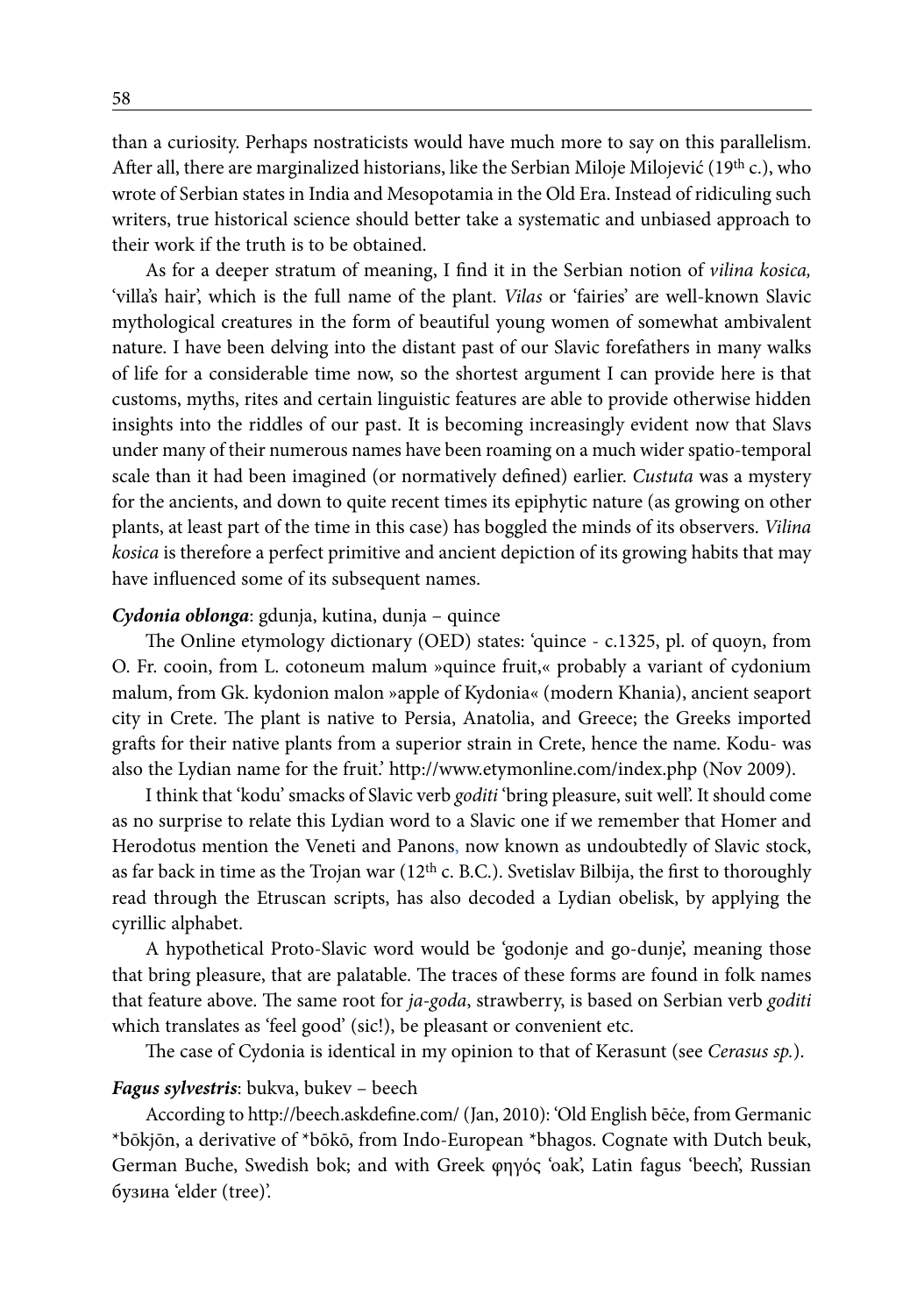than a curiosity. Perhaps nostraticists would have much more to say on this parallelism. After all, there are marginalized historians, like the Serbian Miloje Milojević (19<sup>th</sup> c.), who wrote of Serbian states in India and Mesopotamia in the Old Era. Instead of ridiculing such writers, true historical science should better take a systematic and unbiased approach to their work if the truth is to be obtained.

As for a deeper stratum of meaning, I find it in the Serbian notion of *vilina kosica,*  'villa's hair', which is the full name of the plant. *Vilas* or 'fairies' are well-known Slavic mythological creatures in the form of beautiful young women of somewhat ambivalent nature. I have been delving into the distant past of our Slavic forefathers in many walks of life for a considerable time now, so the shortest argument I can provide here is that customs, myths, rites and certain linguistic features are able to provide otherwise hidden insights into the riddles of our past. It is becoming increasingly evident now that Slavs under many of their numerous names have been roaming on a much wider spatio-temporal scale than it had been imagined (or normatively defined) earlier. *Custuta* was a mystery for the ancients, and down to quite recent times its epiphytic nature (as growing on other plants, at least part of the time in this case) has boggled the minds of its observers. *Vilina kosica* is therefore a perfect primitive and ancient depiction of its growing habits that may have influenced some of its subsequent names.

#### *Cydonia oblonga*: gdunja, kutina, dunja – quince

The Online etymology dictionary (OED) states: 'quince - c.1325, pl. of quoyn, from O. Fr. cooin, from L. cotoneum malum »quince fruit,« probably a variant of cydonium malum, from Gk. kydonion malon »apple of Kydonia« (modern Khania), ancient seaport city in Crete. The plant is native to Persia, Anatolia, and Greece; the Greeks imported grafts for their native plants from a superior strain in Crete, hence the name. Kodu- was also the Lydian name for the fruit.' http://www.etymonline.com/index.php (Nov 2009).

I think that 'kodu' smacks of Slavic verb *goditi* 'bring pleasure, suit well'. It should come as no surprise to relate this Lydian word to a Slavic one if we remember that Homer and Herodotus mention the Veneti and Panons, now known as undoubtedly of Slavic stock, as far back in time as the Trojan war ( $12<sup>th</sup>$  c. B.C.). Svetislav Bilbija, the first to thoroughly read through the Etruscan scripts, has also decoded a Lydian obelisk, by applying the cyrillic alphabet.

A hypothetical Proto-Slavic word would be 'godonje and go-dunje', meaning those that bring pleasure, that are palatable. The traces of these forms are found in folk names that feature above. The same root for *ja-goda*, strawberry, is based on Serbian verb *goditi* which translates as 'feel good' (sic!), be pleasant or convenient etc.

The case of Cydonia is identical in my opinion to that of Kerasunt (see *Cerasus sp.*).

#### *Fagus sylvestris*: bukva, bukev – beech

According to http://beech.askdefine.com/ (Jan, 2010): 'Old English bēċe, from Germanic \*bōkjōn, a derivative of \*bōkō, from Indo-European \*bhagos. Cognate with Dutch beuk, German Buche, Swedish bok; and with Greek φηγός 'oak', Latin fagus 'beech', Russian бузина 'elder (tree)'.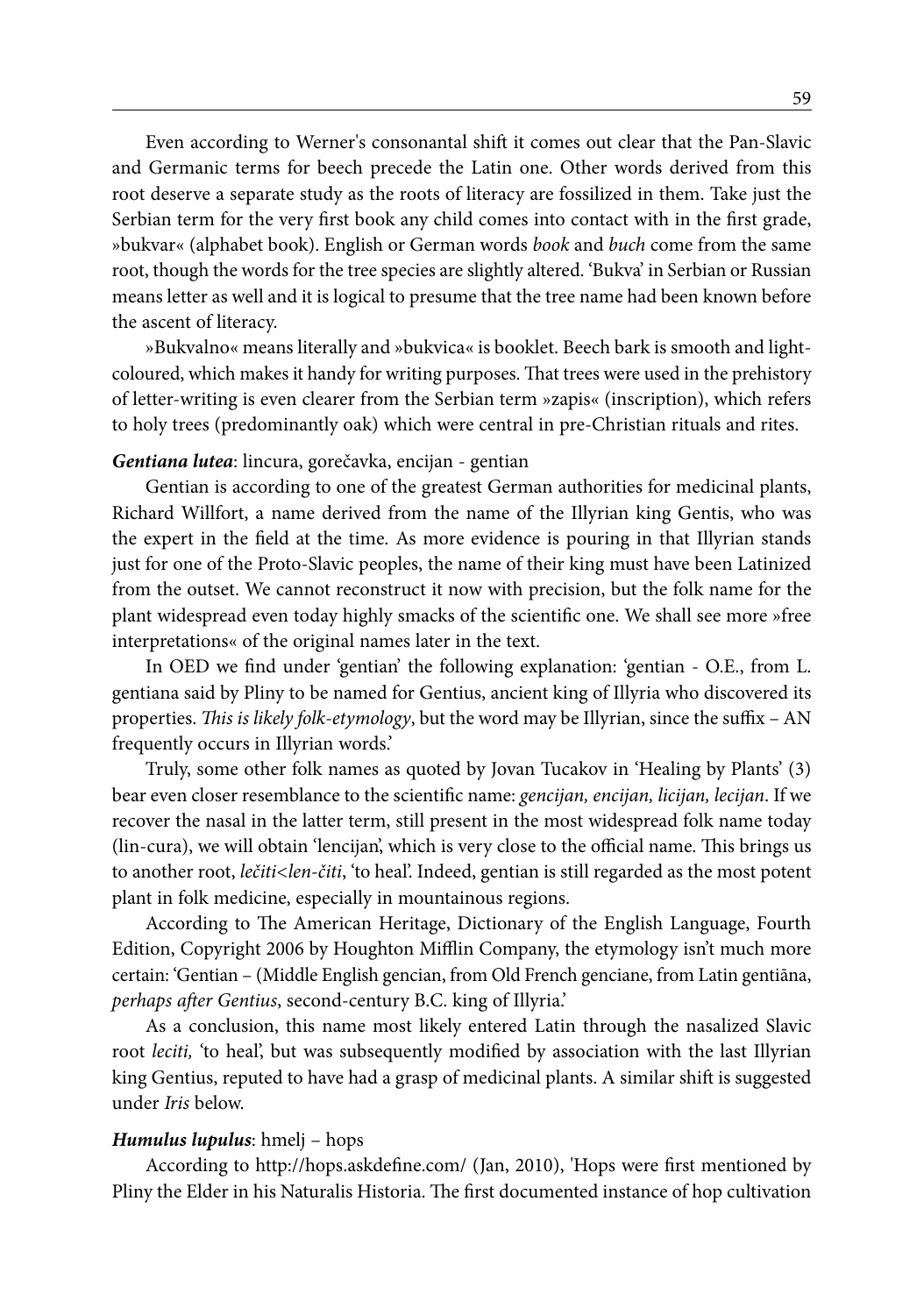Even according to Werner's consonantal shift it comes out clear that the Pan-Slavic and Germanic terms for beech precede the Latin one. Other words derived from this root deserve a separate study as the roots of literacy are fossilized in them. Take just the Serbian term for the very first book any child comes into contact with in the first grade, »bukvar« (alphabet book). English or German words *book* and *buch* come from the same root, though the words for the tree species are slightly altered. 'Bukva' in Serbian or Russian means letter as well and it is logical to presume that the tree name had been known before the ascent of literacy.

»Bukvalno« means literally and »bukvica« is booklet. Beech bark is smooth and lightcoloured, which makes it handy for writing purposes. That trees were used in the prehistory of letter-writing is even clearer from the Serbian term »zapis« (inscription), which refers to holy trees (predominantly oak) which were central in pre-Christian rituals and rites.

#### *Gentiana lutea*: lincura, gorečavka, encijan - gentian

Gentian is according to one of the greatest German authorities for medicinal plants, Richard Willfort, a name derived from the name of the Illyrian king Gentis, who was the expert in the field at the time. As more evidence is pouring in that Illyrian stands just for one of the Proto-Slavic peoples, the name of their king must have been Latinized from the outset. We cannot reconstruct it now with precision, but the folk name for the plant widespread even today highly smacks of the scientific one. We shall see more »free interpretations« of the original names later in the text.

In OED we find under 'gentian' the following explanation: 'gentian - O.E., from L. gentiana said by Pliny to be named for Gentius, ancient king of Illyria who discovered its properties. *This is likely folk-etymology*, but the word may be Illyrian, since the suffix – AN frequently occurs in Illyrian words.'

Truly, some other folk names as quoted by Jovan Tucakov in 'Healing by Plants' (3) bear even closer resemblance to the scientific name: *gencijan, encijan, licijan, lecijan*. If we recover the nasal in the latter term, still present in the most widespread folk name today (lin-cura), we will obtain 'lencijan', which is very close to the official name. This brings us to another root, *lečiti<len-čiti*, 'to heal'. Indeed, gentian is still regarded as the most potent plant in folk medicine, especially in mountainous regions.

According to The American Heritage, Dictionary of the English Language, Fourth Edition, Copyright 2006 by Houghton Mifflin Company, the etymology isn't much more certain: 'Gentian – (Middle English gencian, from Old French genciane, from Latin gentiāna, *perhaps after Gentius*, second-century B.C. king of Illyria.'

As a conclusion, this name most likely entered Latin through the nasalized Slavic root *leciti,* 'to heal', but was subsequently modified by association with the last Illyrian king Gentius, reputed to have had a grasp of medicinal plants. A similar shift is suggested under *Iris* below.

#### *Humulus lupulus*: hmelj – hops

According to http://hops.askdefine.com/ (Jan, 2010), 'Hops were first mentioned by Pliny the Elder in his Naturalis Historia. The first documented instance of hop cultivation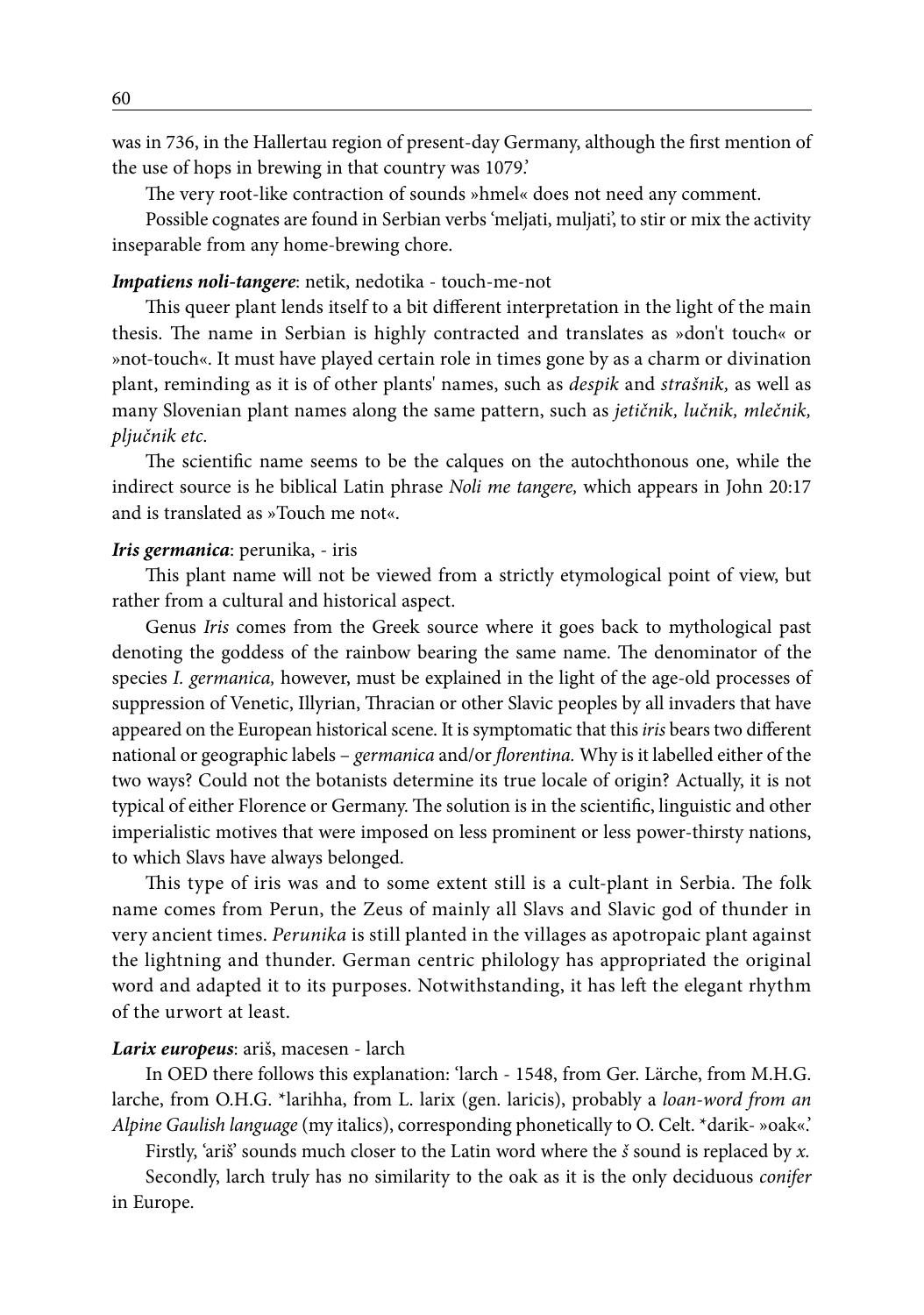was in 736, in the Hallertau region of present-day Germany, although the first mention of the use of hops in brewing in that country was 1079.'

The very root-like contraction of sounds »hmel« does not need any comment.

Possible cognates are found in Serbian verbs 'meljati, muljati', to stir or mix the activity inseparable from any home-brewing chore.

#### *Impatiens noli-tangere*: netik, nedotika - touch-me-not

This queer plant lends itself to a bit different interpretation in the light of the main thesis. The name in Serbian is highly contracted and translates as »don't touch« or »not-touch«. It must have played certain role in times gone by as a charm or divination plant, reminding as it is of other plants' names, such as *despik* and *strašnik,* as well as many Slovenian plant names along the same pattern, such as *jetičnik, lučnik, mlečnik, pljučnik etc.*

The scientific name seems to be the calques on the autochthonous one, while the indirect source is he biblical Latin phrase *Noli me tangere,* which appears in John 20:17 and is translated as »Touch me not«.

#### *Iris germanica*: perunika, - iris

This plant name will not be viewed from a strictly etymological point of view, but rather from a cultural and historical aspect.

Genus *Iris* comes from the Greek source where it goes back to mythological past denoting the goddess of the rainbow bearing the same name. The denominator of the species *I. germanica,* however, must be explained in the light of the age-old processes of suppression of Venetic, Illyrian, Thracian or other Slavic peoples by all invaders that have appeared on the European historical scene. It is symptomatic that this *iris* bears two different national or geographic labels – *germanica* and/or *florentina.* Why is it labelled either of the two ways? Could not the botanists determine its true locale of origin? Actually, it is not typical of either Florence or Germany. The solution is in the scientific, linguistic and other imperialistic motives that were imposed on less prominent or less power-thirsty nations, to which Slavs have always belonged.

This type of iris was and to some extent still is a cult-plant in Serbia. The folk name comes from Perun, the Zeus of mainly all Slavs and Slavic god of thunder in very ancient times. *Perunika* is still planted in the villages as apotropaic plant against the lightning and thunder. German centric philology has appropriated the original word and adapted it to its purposes. Notwithstanding, it has left the elegant rhythm of the urwort at least.

#### *Larix europeus*: ariš, macesen - larch

In OED there follows this explanation: 'larch - 1548, from Ger. Lärche, from M.H.G. larche, from O.H.G. \*larihha, from L. larix (gen. laricis), probably a *loan-word from an Alpine Gaulish language* (my italics), corresponding phonetically to O. Celt. \*darik- »oak«.'

Firstly, 'ariš' sounds much closer to the Latin word where the *š* sound is replaced by *x.*

Secondly, larch truly has no similarity to the oak as it is the only deciduous *conifer* in Europe.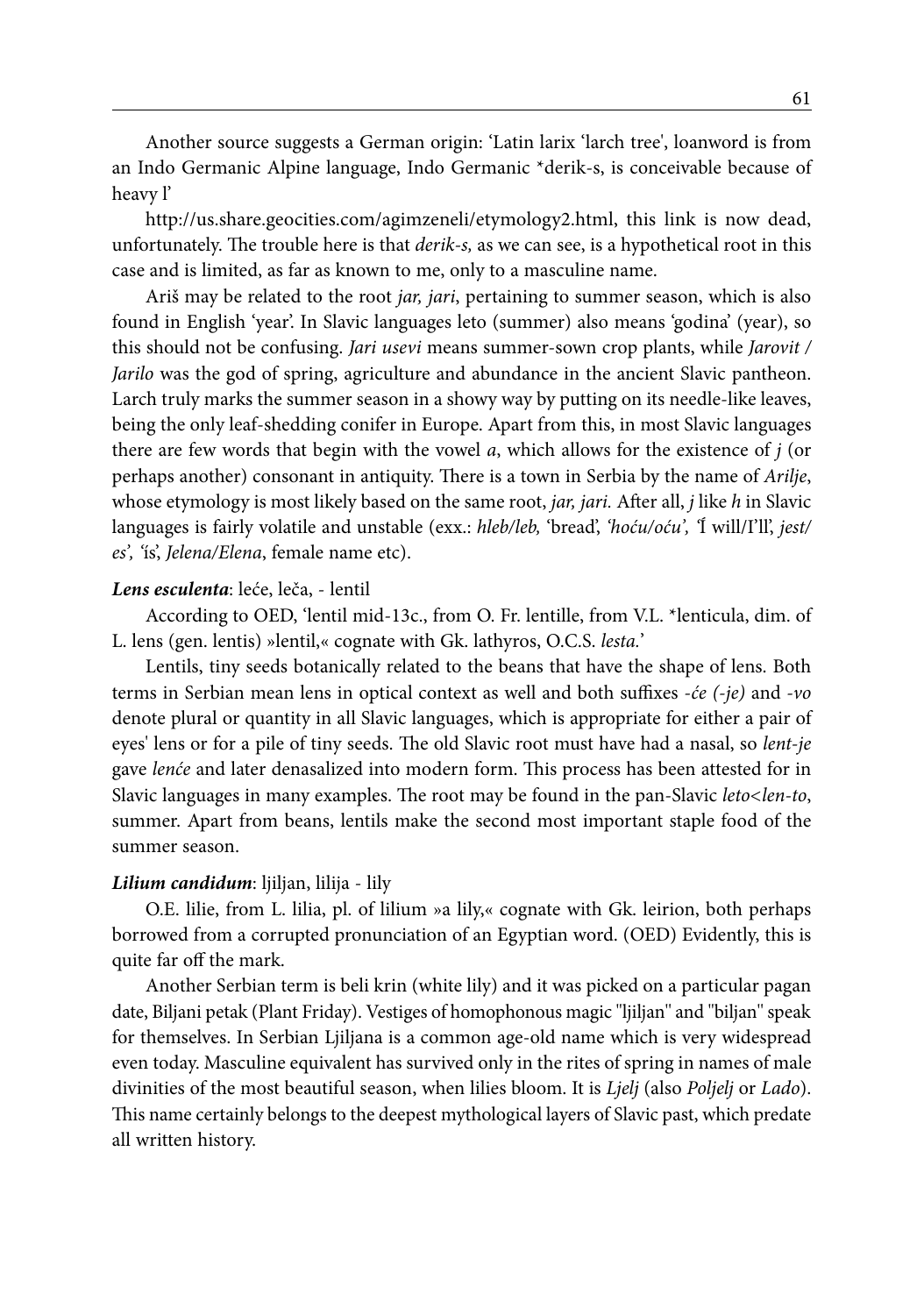Another source suggests a German origin: 'Latin larix 'larch tree', loanword is from an Indo Germanic Alpine language, Indo Germanic \*derik-s, is conceivable because of heavy l'

http://us.share.geocities.com/agimzeneli/etymology2.html, this link is now dead, unfortunately. The trouble here is that *derik-s,* as we can see, is a hypothetical root in this case and is limited, as far as known to me, only to a masculine name.

Ariš may be related to the root *jar, jari*, pertaining to summer season, which is also found in English 'year'. In Slavic languages leto (summer) also means 'godina' (year), so this should not be confusing. *Jari usevi* means summer-sown crop plants, while *Jarovit / Jarilo* was the god of spring, agriculture and abundance in the ancient Slavic pantheon. Larch truly marks the summer season in a showy way by putting on its needle-like leaves, being the only leaf-shedding conifer in Europe. Apart from this, in most Slavic languages there are few words that begin with the vowel *a*, which allows for the existence of *j* (or perhaps another) consonant in antiquity. There is a town in Serbia by the name of *Arilje*, whose etymology is most likely based on the same root, *jar, jari.* After all, *j* like *h* in Slavic languages is fairly volatile and unstable (exx.: *hleb/leb,* 'bread', *'hoću/oću', '*Í will/I'll', *jest/ es', '*ís', *Jelena/Elena*, female name etc).

#### *Lens esculenta*: leće, leča, - lentil

According to OED, 'lentil mid-13c., from O. Fr. lentille, from V.L. \*lenticula, dim. of L. lens (gen. lentis) »lentil,« cognate with Gk. lathyros, O.C.S. *lesta.*'

Lentils, tiny seeds botanically related to the beans that have the shape of lens. Both terms in Serbian mean lens in optical context as well and both suffixes -*će (-je)* and *-vo* denote plural or quantity in all Slavic languages, which is appropriate for either a pair of eyes' lens or for a pile of tiny seeds. The old Slavic root must have had a nasal, so *lent-je* gave *lenće* and later denasalized into modern form. This process has been attested for in Slavic languages in many examples. The root may be found in the pan-Slavic *leto<len-to*, summer. Apart from beans, lentils make the second most important staple food of the summer season.

### *Lilium candidum*: ljiljan, lilija - lily

O.E. lilie, from L. lilia, pl. of lilium »a lily,« cognate with Gk. leirion, both perhaps borrowed from a corrupted pronunciation of an Egyptian word. (OED) Evidently, this is quite far off the mark.

Another Serbian term is beli krin (white lily) and it was picked on a particular pagan date, Biljani petak (Plant Friday). Vestiges of homophonous magic ''ljiljan'' and ''biljan'' speak for themselves. In Serbian Ljiljana is a common age-old name which is very widespread even today. Masculine equivalent has survived only in the rites of spring in names of male divinities of the most beautiful season, when lilies bloom. It is *Ljelj* (also *Poljelj* or *Lado*). This name certainly belongs to the deepest mythological layers of Slavic past, which predate all written history.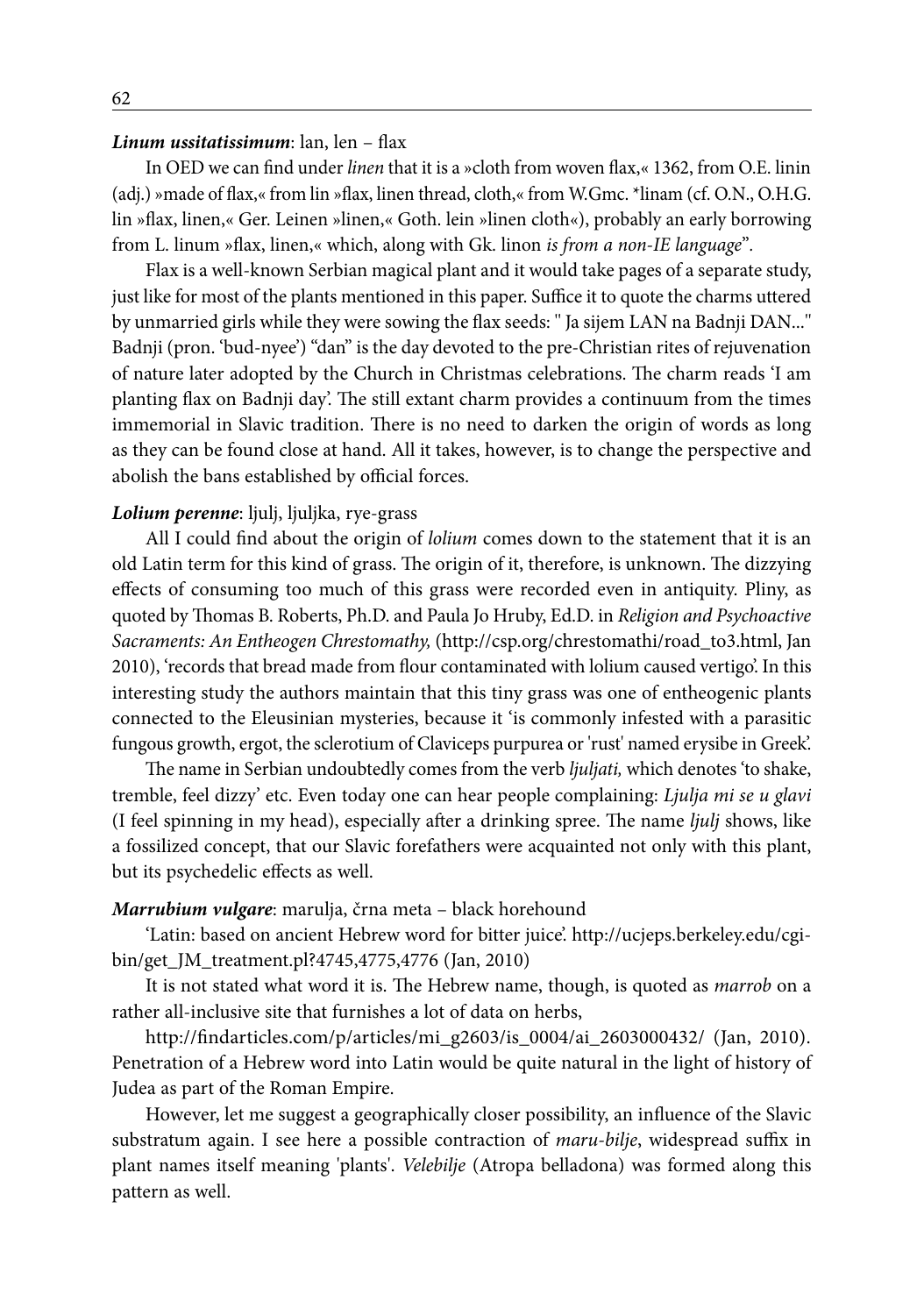#### *Linum ussitatissimum*: lan, len – flax

In OED we can find under *linen* that it is a »cloth from woven flax,« 1362, from O.E. linin (adj.) »made of flax,« from lin »flax, linen thread, cloth,« from W.Gmc. \*linam (cf. O.N., O.H.G. lin »flax, linen,« Ger. Leinen »linen,« Goth. lein »linen cloth«), probably an early borrowing from L. linum »flax, linen,« which, along with Gk. linon *is from a non-IE language*"*.*

Flax is a well-known Serbian magical plant and it would take pages of a separate study, just like for most of the plants mentioned in this paper. Suffice it to quote the charms uttered by unmarried girls while they were sowing the flax seeds: '' Ja sijem LAN na Badnji DAN...'' Badnji (pron. 'bud-nyee') "dan" is the day devoted to the pre-Christian rites of rejuvenation of nature later adopted by the Church in Christmas celebrations. The charm reads 'I am planting flax on Badnji day'. The still extant charm provides a continuum from the times immemorial in Slavic tradition. There is no need to darken the origin of words as long as they can be found close at hand. All it takes, however, is to change the perspective and abolish the bans established by official forces.

#### *Lolium perenne*: ljulj, ljuljka, rye-grass

All I could find about the origin of *lolium* comes down to the statement that it is an old Latin term for this kind of grass. The origin of it, therefore, is unknown. The dizzying effects of consuming too much of this grass were recorded even in antiquity. Pliny, as quoted by Thomas B. Roberts, Ph.D. and Paula Jo Hruby, Ed.D. in *Religion and Psychoactive Sacraments: An Entheogen Chrestomathy,* (http://csp.org/chrestomathi/road\_to3.html, Jan 2010), 'records that bread made from flour contaminated with lolium caused vertigo'. In this interesting study the authors maintain that this tiny grass was one of entheogenic plants connected to the Eleusinian mysteries, because it 'is commonly infested with a parasitic fungous growth, ergot, the sclerotium of Claviceps purpurea or 'rust' named erysibe in Greek'.

The name in Serbian undoubtedly comes from the verb *ljuljati,* which denotes 'to shake, tremble, feel dizzy' etc. Even today one can hear people complaining: *Ljulja mi se u glavi*  (I feel spinning in my head), especially after a drinking spree. The name *ljulj* shows, like a fossilized concept, that our Slavic forefathers were acquainted not only with this plant, but its psychedelic effects as well.

#### *Marrubium vulgare*: marulja, črna meta – black horehound

'Latin: based on ancient Hebrew word for bitter juice'. http://ucjeps.berkeley.edu/cgibin/get\_JM\_treatment.pl?4745,4775,4776 (Jan, 2010)

It is not stated what word it is. The Hebrew name, though, is quoted as *marrob* on a rather all-inclusive site that furnishes a lot of data on herbs,

http://findarticles.com/p/articles/mi\_g2603/is\_0004/ai\_2603000432/ (Jan, 2010). Penetration of a Hebrew word into Latin would be quite natural in the light of history of Judea as part of the Roman Empire.

However, let me suggest a geographically closer possibility, an influence of the Slavic substratum again. I see here a possible contraction of *maru-bilje*, widespread suffix in plant names itself meaning 'plants'. *Velebilje* (Atropa belladona) was formed along this pattern as well.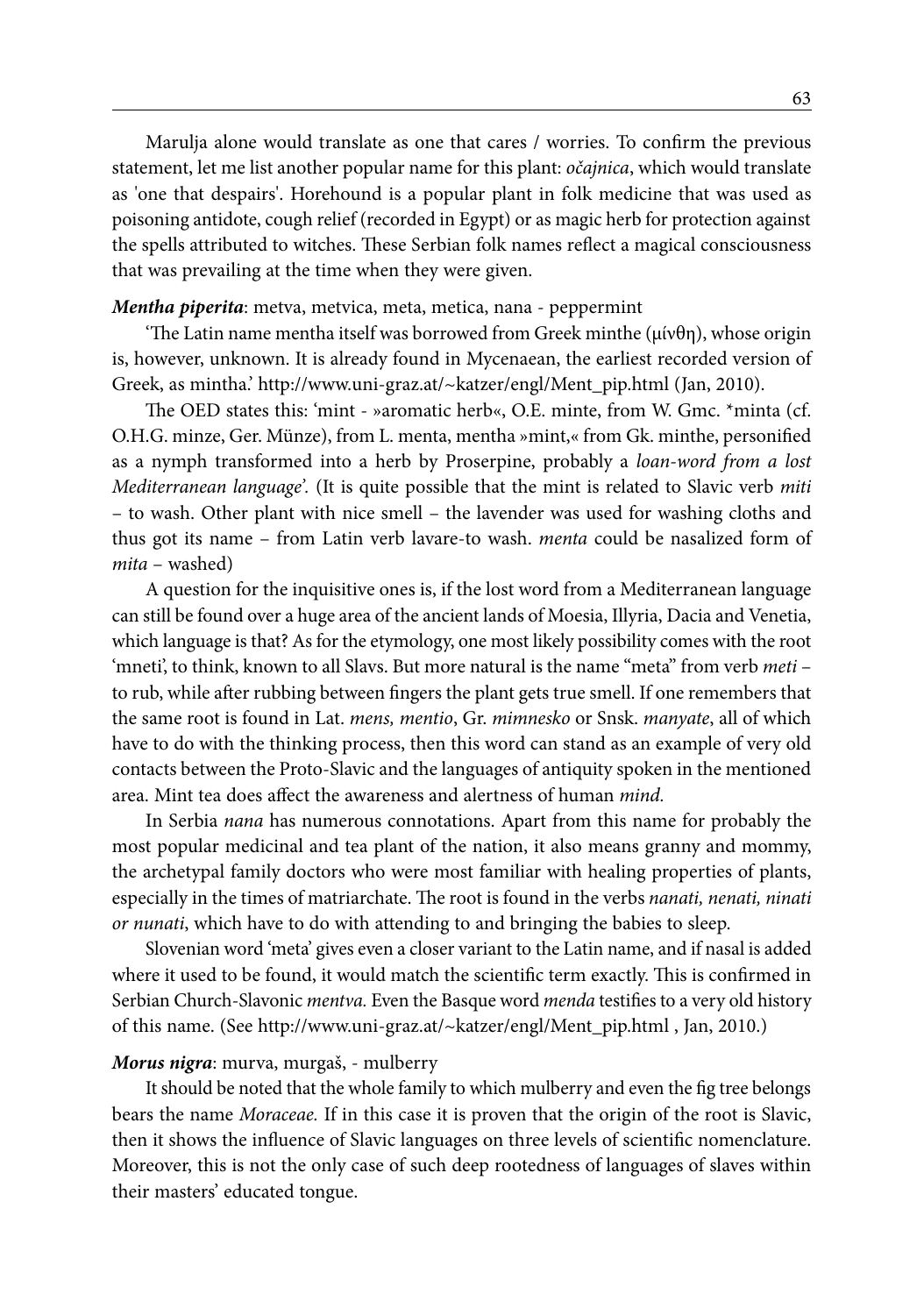Marulja alone would translate as one that cares / worries. To confirm the previous statement, let me list another popular name for this plant: *očajnica*, which would translate as 'one that despairs'. Horehound is a popular plant in folk medicine that was used as poisoning antidote, cough relief (recorded in Egypt) or as magic herb for protection against the spells attributed to witches. These Serbian folk names reflect a magical consciousness that was prevailing at the time when they were given.

#### *Mentha piperita*: metva, metvica, meta, metica, nana - peppermint

'The Latin name mentha itself was borrowed from Greek minthe ( $\mu$ ív $\theta$ n), whose origin is, however, unknown. It is already found in Mycenaean, the earliest recorded version of Greek, as mintha.' http://www.uni-graz.at/~katzer/engl/Ment\_pip.html (Jan, 2010).

The OED states this: 'mint - »aromatic herb«, O.E. minte, from W. Gmc. \*minta (cf. O.H.G. minze, Ger. Münze), from L. menta, mentha »mint,« from Gk. minthe, personified as a nymph transformed into a herb by Proserpine, probably a *loan-word from a lost Mediterranean language'.* (It is quite possible that the mint is related to Slavic verb *miti* – to wash. Other plant with nice smell – the lavender was used for washing cloths and thus got its name – from Latin verb lavare-to wash. *menta* could be nasalized form of *mita* – washed)

A question for the inquisitive ones is, if the lost word from a Mediterranean language can still be found over a huge area of the ancient lands of Moesia, Illyria, Dacia and Venetia, which language is that? As for the etymology, one most likely possibility comes with the root 'mneti', to think, known to all Slavs. But more natural is the name "meta" from verb *meti* – to rub, while after rubbing between fingers the plant gets true smell. If one remembers that the same root is found in Lat. *mens, mentio*, Gr. *mimnesko* or Snsk. *manyate*, all of which have to do with the thinking process, then this word can stand as an example of very old contacts between the Proto-Slavic and the languages of antiquity spoken in the mentioned area. Mint tea does affect the awareness and alertness of human *mind.*

In Serbia *nana* has numerous connotations. Apart from this name for probably the most popular medicinal and tea plant of the nation, it also means granny and mommy, the archetypal family doctors who were most familiar with healing properties of plants, especially in the times of matriarchate. The root is found in the verbs *nanati, nenati, ninati or nunati*, which have to do with attending to and bringing the babies to sleep.

Slovenian word 'meta' gives even a closer variant to the Latin name, and if nasal is added where it used to be found, it would match the scientific term exactly. This is confirmed in Serbian Church-Slavonic *mentva.* Even the Basque word *menda* testifies to a very old history of this name. (See http://www.uni-graz.at/~katzer/engl/Ment\_pip.html , Jan, 2010.)

#### *Morus nigra*: murva, murgaš, - mulberry

It should be noted that the whole family to which mulberry and even the fig tree belongs bears the name *Moraceae.* If in this case it is proven that the origin of the root is Slavic, then it shows the influence of Slavic languages on three levels of scientific nomenclature. Moreover, this is not the only case of such deep rootedness of languages of slaves within their masters' educated tongue.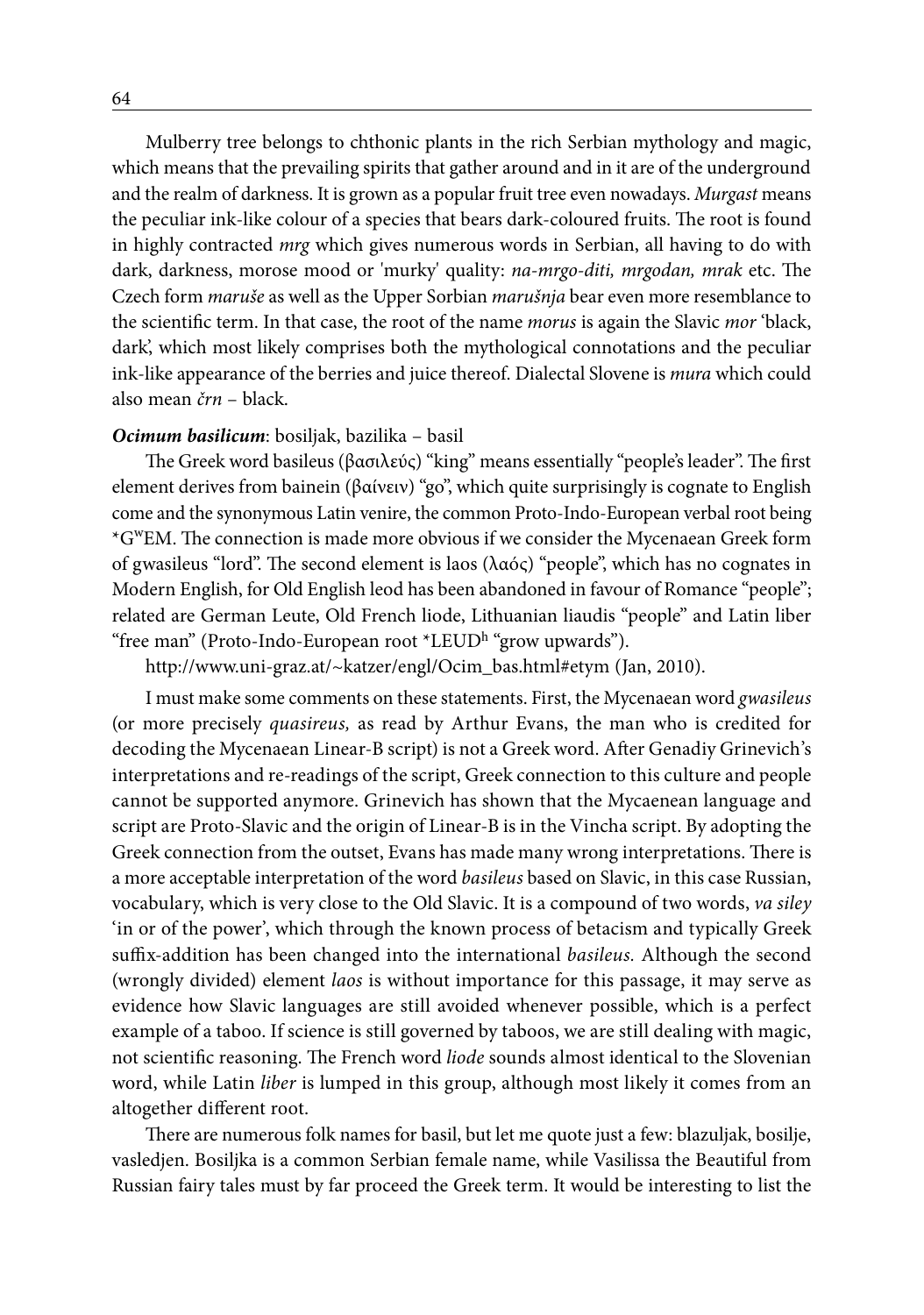Mulberry tree belongs to chthonic plants in the rich Serbian mythology and magic, which means that the prevailing spirits that gather around and in it are of the underground and the realm of darkness. It is grown as a popular fruit tree even nowadays. *Murgast* means the peculiar ink-like colour of a species that bears dark-coloured fruits. The root is found in highly contracted *mrg* which gives numerous words in Serbian, all having to do with dark, darkness, morose mood or 'murky' quality: *na-mrgo-diti, mrgodan, mrak* etc. The Czech form *maruše* as well as the Upper Sorbian *marušnja* bear even more resemblance to the scientific term. In that case, the root of the name *morus* is again the Slavic *mor* 'black, dark', which most likely comprises both the mythological connotations and the peculiar ink-like appearance of the berries and juice thereof. Dialectal Slovene is *mura* which could also mean *črn* – black.

#### *Ocimum basilicum*: bosiljak, bazilika – basil

The Greek word basileus (βασιλεύς) "king" means essentially "people's leader". The first element derives from bainein (βαίνειν) "go", which quite surprisingly is cognate to English come and the synonymous Latin venire, the common Proto-Indo-European verbal root being \*GwEM. The connection is made more obvious if we consider the Mycenaean Greek form of gwasileus "lord". The second element is laos (λαός) "people", which has no cognates in Modern English, for Old English leod has been abandoned in favour of Romance "people"; related are German Leute, Old French liode, Lithuanian liaudis "people" and Latin liber "free man" (Proto-Indo-European root \*LEUD<sup>h</sup> "grow upwards").

http://www.uni-graz.at/~katzer/engl/Ocim\_bas.html#etym (Jan, 2010).

I must make some comments on these statements. First, the Mycenaean word *gwasileus* (or more precisely *quasireus,* as read by Arthur Evans, the man who is credited for decoding the Mycenaean Linear-B script) is not a Greek word. After Genadiy Grinevich's interpretations and re-readings of the script, Greek connection to this culture and people cannot be supported anymore. Grinevich has shown that the Mycaenean language and script are Proto-Slavic and the origin of Linear-B is in the Vincha script. By adopting the Greek connection from the outset, Evans has made many wrong interpretations. There is a more acceptable interpretation of the word *basileus* based on Slavic, in this case Russian, vocabulary, which is very close to the Old Slavic. It is a compound of two words, *va siley* 'in or of the power', which through the known process of betacism and typically Greek suffix-addition has been changed into the international *basileus.* Although the second (wrongly divided) element *laos* is without importance for this passage, it may serve as evidence how Slavic languages are still avoided whenever possible, which is a perfect example of a taboo. If science is still governed by taboos, we are still dealing with magic, not scientific reasoning. The French word *liode* sounds almost identical to the Slovenian word, while Latin *liber* is lumped in this group, although most likely it comes from an altogether different root.

There are numerous folk names for basil, but let me quote just a few: blazuljak, bosilje, vasledjen. Bosiljka is a common Serbian female name, while Vasilissa the Beautiful from Russian fairy tales must by far proceed the Greek term. It would be interesting to list the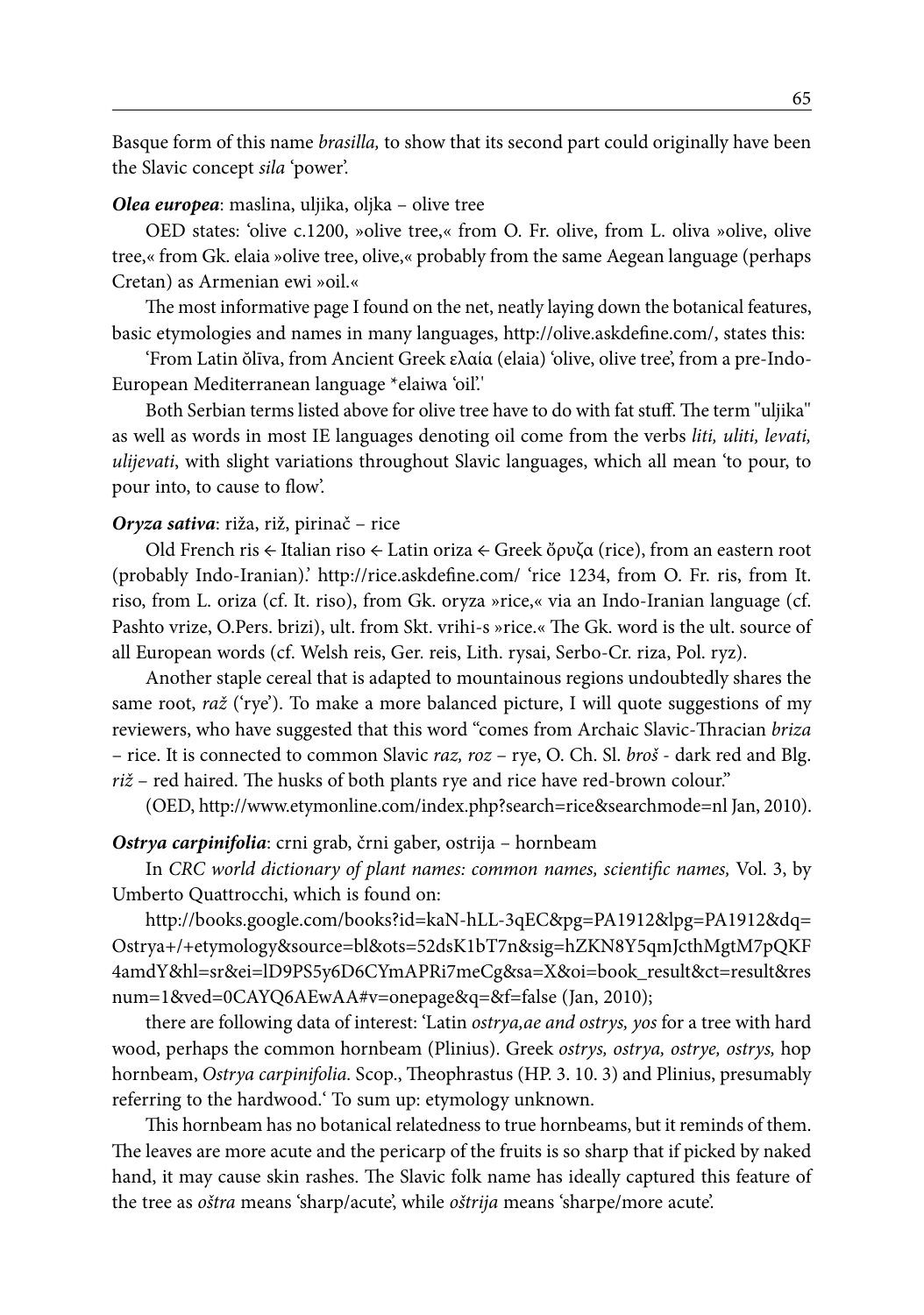Basque form of this name *brasilla,* to show that its second part could originally have been the Slavic concept *sila* 'power'.

#### *Olea europea*: maslina, uljika, oljka – olive tree

OED states: 'olive c.1200, »olive tree,« from O. Fr. olive, from L. oliva »olive, olive tree,« from Gk. elaia »olive tree, olive,« probably from the same Aegean language (perhaps Cretan) as Armenian ewi »oil.«

The most informative page I found on the net, neatly laying down the botanical features, basic etymologies and names in many languages, http://olive.askdefine.com/, states this:

'From Latin ŏlīva, from Ancient Greek ελαία (elaia) 'olive, olive tree', from a pre-Indo-European Mediterranean language \*elaiwa 'oil'.'

Both Serbian terms listed above for olive tree have to do with fat stuff. The term ''uljika'' as well as words in most IE languages denoting oil come from the verbs *liti, uliti, levati, ulijevati*, with slight variations throughout Slavic languages, which all mean 'to pour, to pour into, to cause to flow'.

#### *Oryza sativa*: riža, riž, pirinač – rice

Old French ris ← Italian riso ← Latin oriza ← Greek ὄρυζα (rice), from an eastern root (probably Indo-Iranian).' http://rice.askdefine.com/ 'rice 1234, from O. Fr. ris, from It. riso, from L. oriza (cf. It. riso), from Gk. oryza »rice,« via an Indo-Iranian language (cf. Pashto vrize, O.Pers. brizi), ult. from Skt. vrihi-s »rice.« The Gk. word is the ult. source of all European words (cf. Welsh reis, Ger. reis, Lith. rysai, Serbo-Cr. riza, Pol. ryz).

Another staple cereal that is adapted to mountainous regions undoubtedly shares the same root, *raž* ('rye'). To make a more balanced picture, I will quote suggestions of my reviewers, who have suggested that this word "comes from Archaic Slavic-Thracian *briza* – rice. It is connected to common Slavic *raz, roz* – rye, O. Ch. Sl. *broš* - dark red and Blg. *riž* – red haired. The husks of both plants rye and rice have red-brown colour."

(OED, http://www.etymonline.com/index.php?search=rice&searchmode=nl Jan, 2010).

#### *Ostrya carpinifolia*: crni grab, črni gaber, ostrija – hornbeam

In *CRC world dictionary of plant names: common names, scientific names,* Vol. 3, by Umberto Quattrocchi, which is found on:

http://books.google.com/books?id=kaN-hLL-3qEC&pg=PA1912&lpg=PA1912&dq= Ostrya+/+etymology&source=bl&ots=52dsK1bT7n&sig=hZKN8Y5qmJcthMgtM7pQKF 4amdY&hl=sr&ei=lD9PS5y6D6CYmAPRi7meCg&sa=X&oi=book\_result&ct=result&res num=1&ved=0CAYQ6AEwAA#v=onepage&q=&f=false (Jan, 2010);

there are following data of interest: 'Latin *ostrya,ae and ostrys, yos* for a tree with hard wood, perhaps the common hornbeam (Plinius). Greek *ostrys, ostrya, ostrye, ostrys,* hop hornbeam, *Ostrya carpinifolia.* Scop., Theophrastus (HP. 3. 10. 3) and Plinius, presumably referring to the hardwood.' To sum up: etymology unknown.

This hornbeam has no botanical relatedness to true hornbeams, but it reminds of them. The leaves are more acute and the pericarp of the fruits is so sharp that if picked by naked hand, it may cause skin rashes. The Slavic folk name has ideally captured this feature of the tree as *oštra* means 'sharp/acute', while *oštrija* means 'sharpe/more acute'.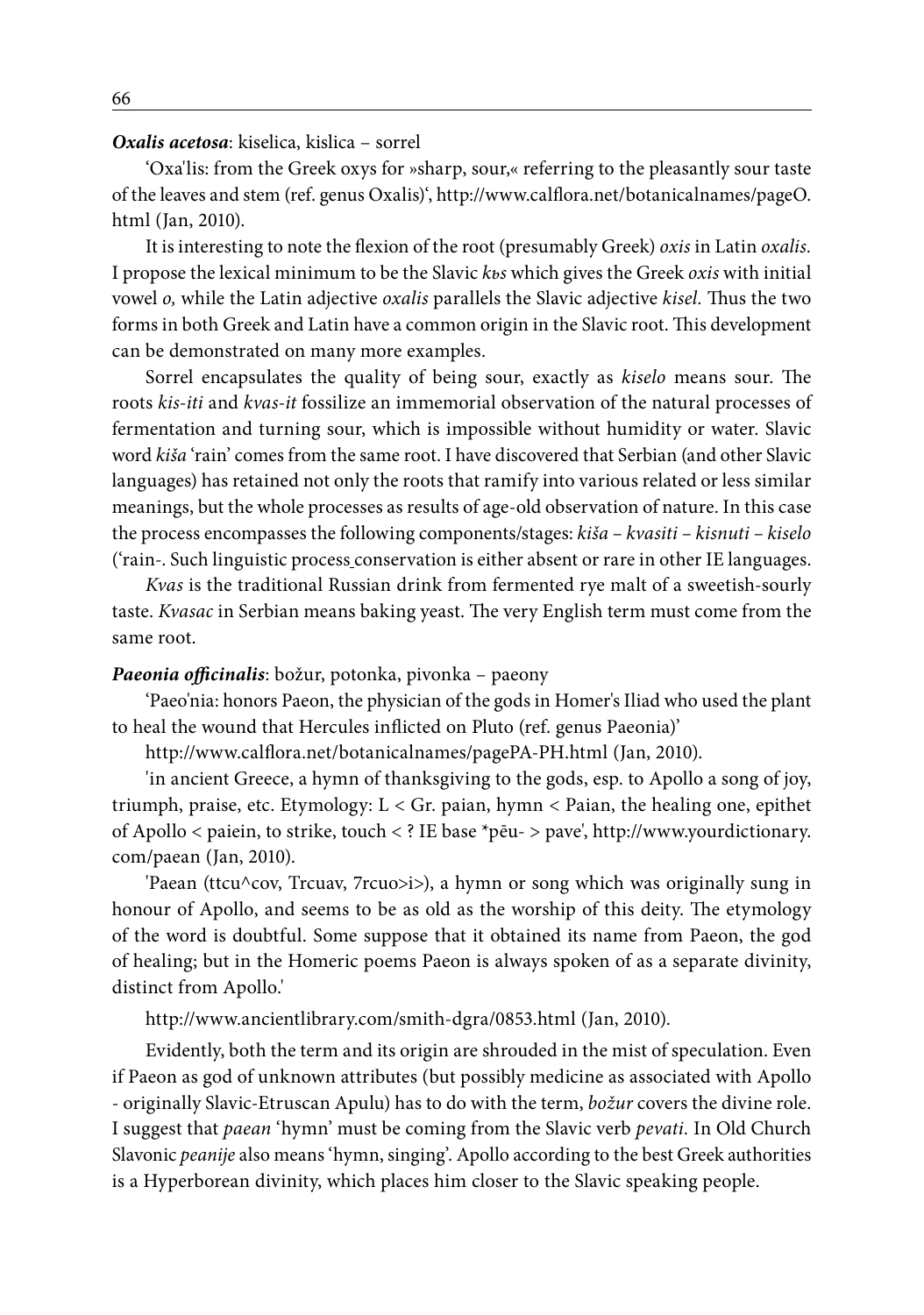#### *Oxalis acetosa*: kiselica, kislica – sorrel

'Oxa'lis: from the Greek oxys for »sharp, sour,« referring to the pleasantly sour taste of the leaves and stem (ref. genus Oxalis)', http://www.calflora.net/botanicalnames/pageO. html (Jan, 2010).

It is interesting to note the flexion of the root (presumably Greek) *oxis* in Latin *oxalis.*  I propose the lexical minimum to be the Slavic *kьs* which gives the Greek *oxis* with initial vowel *o,* while the Latin adjective *oxalis* parallels the Slavic adjective *kisel.* Thus the two forms in both Greek and Latin have a common origin in the Slavic root. This development can be demonstrated on many more examples.

Sorrel encapsulates the quality of being sour, exactly as *kiselo* means sour. The roots *kis-iti* and *kvas-it* fossilize an immemorial observation of the natural processes of fermentation and turning sour, which is impossible without humidity or water. Slavic word *kiša* 'rain' comes from the same root. I have discovered that Serbian (and other Slavic languages) has retained not only the roots that ramify into various related or less similar meanings, but the whole processes as results of age-old observation of nature. In this case the process encompasses the following components/stages: *kiša – kvasiti – kisnuti – kiselo* ('rain-. Such linguistic process conservation is either absent or rare in other IE languages.

*Kvas* is the traditional Russian drink from fermented rye malt of a sweetish-sourly taste. *Kvasac* in Serbian means baking yeast. The very English term must come from the same root.

#### *Paeonia officinalis*: božur, potonka, pivonka – paeony

'Paeo'nia: honors Paeon, the physician of the gods in Homer's Iliad who used the plant to heal the wound that Hercules inflicted on Pluto (ref. genus Paeonia)'

http://www.calflora.net/botanicalnames/pagePA-PH.html (Jan, 2010).

'in ancient Greece, a hymn of thanksgiving to the gods, esp. to Apollo a song of joy, triumph, praise, etc. Etymology: L < Gr. paian, hymn < Paian, the healing one, epithet of Apollo < paiein, to strike, touch < ? IE base \*pēu- > pave', http://www.yourdictionary. com/paean (Jan, 2010).

'Paean (ttcu^cov, Trcuav, 7rcuo>i>), a hymn or song which was originally sung in honour of Apollo, and seems to be as old as the worship of this deity. The etymology of the word is doubtful. Some suppose that it obtained its name from Paeon, the god of healing; but in the Homeric poems Paeon is always spoken of as a separate divinity, distinct from Apollo.'

http://www.ancientlibrary.com/smith-dgra/0853.html (Jan, 2010).

Evidently, both the term and its origin are shrouded in the mist of speculation. Even if Paeon as god of unknown attributes (but possibly medicine as associated with Apollo - originally Slavic-Etruscan Apulu) has to do with the term, *božur* covers the divine role. I suggest that *paean* 'hymn' must be coming from the Slavic verb *pevati.* In Old Church Slavonic *peanije* also means 'hymn, singing'. Apollo according to the best Greek authorities is a Hyperborean divinity, which places him closer to the Slavic speaking people.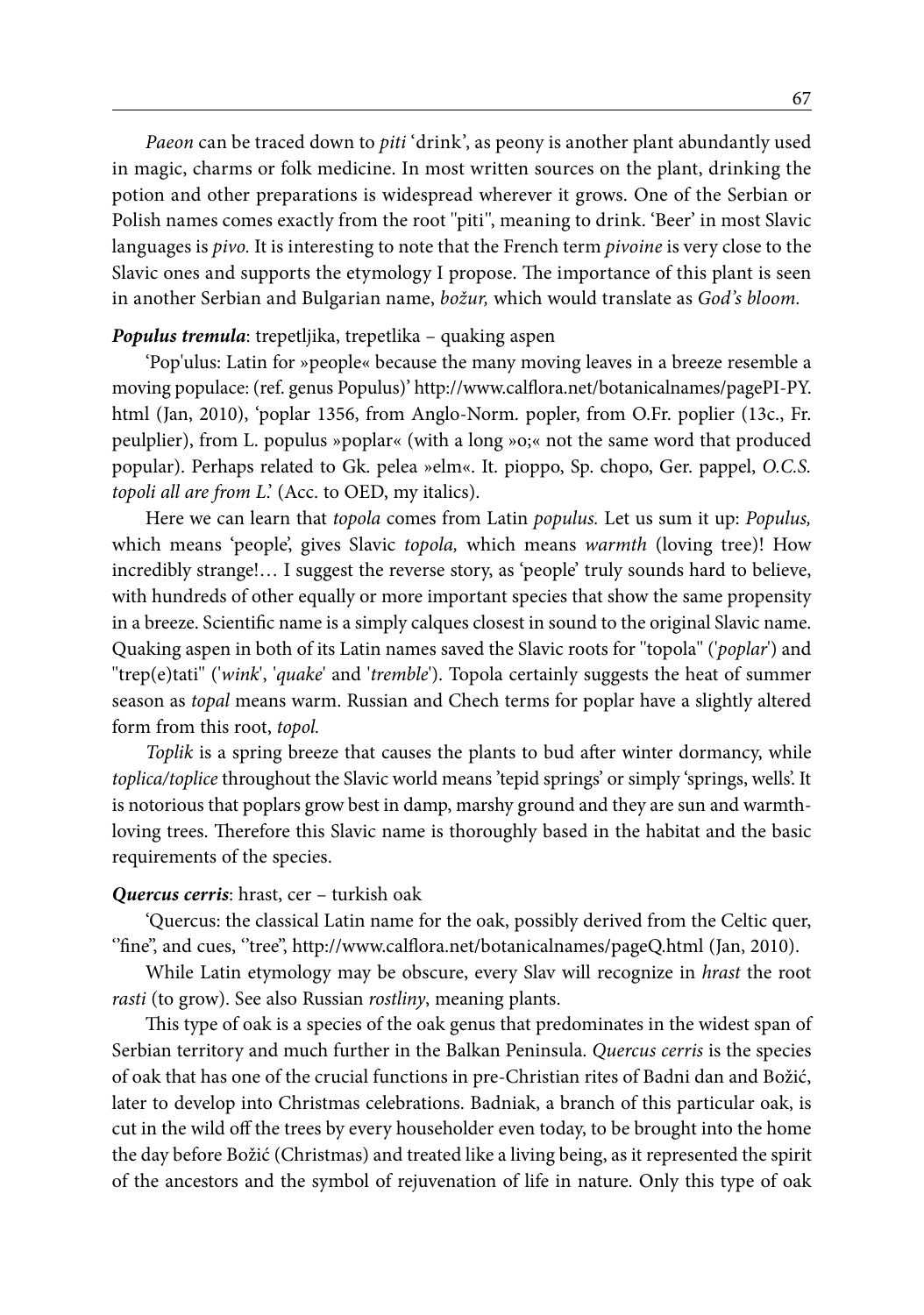*Paeon* can be traced down to *piti* 'drink', as peony is another plant abundantly used in magic, charms or folk medicine. In most written sources on the plant, drinking the potion and other preparations is widespread wherever it grows. One of the Serbian or Polish names comes exactly from the root ''piti'', meaning to drink. 'Beer' in most Slavic languages is *pivo.* It is interesting to note that the French term *pivoine* is very close to the Slavic ones and supports the etymology I propose. The importance of this plant is seen in another Serbian and Bulgarian name, *božur,* which would translate as *God's bloom.*

#### *Populus tremula*: trepetljika, trepetlika – quaking aspen

'Pop'ulus: Latin for »people« because the many moving leaves in a breeze resemble a moving populace: (ref. genus Populus)' http://www.calflora.net/botanicalnames/pagePI-PY. html (Jan, 2010), 'poplar 1356, from Anglo-Norm. popler, from O.Fr. poplier (13c., Fr. peulplier), from L. populus »poplar« (with a long »o;« not the same word that produced popular). Perhaps related to Gk. pelea »elm«. It. pioppo, Sp. chopo, Ger. pappel, *O.C.S. topoli all are from L*.' (Acc. to OED, my italics).

Here we can learn that *topola* comes from Latin *populus.* Let us sum it up: *Populus,*  which means 'people', gives Slavic *topola,* which means *warmth* (loving tree)! How incredibly strange!… I suggest the reverse story, as 'people' truly sounds hard to believe, with hundreds of other equally or more important species that show the same propensity in a breeze. Scientific name is a simply calques closest in sound to the original Slavic name. Quaking aspen in both of its Latin names saved the Slavic roots for ''topola'' ('*poplar*') and ''trep(e)tati'' ('*wink*', '*quake*' and '*tremble*'). Topola certainly suggests the heat of summer season as *topal* means warm. Russian and Chech terms for poplar have a slightly altered form from this root, *topol.*

*Toplik* is a spring breeze that causes the plants to bud after winter dormancy, while *toplica/toplice* throughout the Slavic world means 'tepid springs' or simply 'springs, wells'. It is notorious that poplars grow best in damp, marshy ground and they are sun and warmthloving trees. Therefore this Slavic name is thoroughly based in the habitat and the basic requirements of the species.

#### *Quercus cerris*: hrast, cer – turkish oak

'Quercus: the classical Latin name for the oak, possibly derived from the Celtic quer, ''fine'', and cues, ''tree'', http://www.calflora.net/botanicalnames/pageQ.html (Jan, 2010).

While Latin etymology may be obscure, every Slav will recognize in *hrast* the root *rasti* (to grow). See also Russian *rostliny*, meaning plants.

This type of oak is a species of the oak genus that predominates in the widest span of Serbian territory and much further in the Balkan Peninsula. *Quercus cerris* is the species of oak that has one of the crucial functions in pre-Christian rites of Badni dan and Božić, later to develop into Christmas celebrations. Badniak, a branch of this particular oak, is cut in the wild off the trees by every householder even today, to be brought into the home the day before Božić (Christmas) and treated like a living being, as it represented the spirit of the ancestors and the symbol of rejuvenation of life in nature. Only this type of oak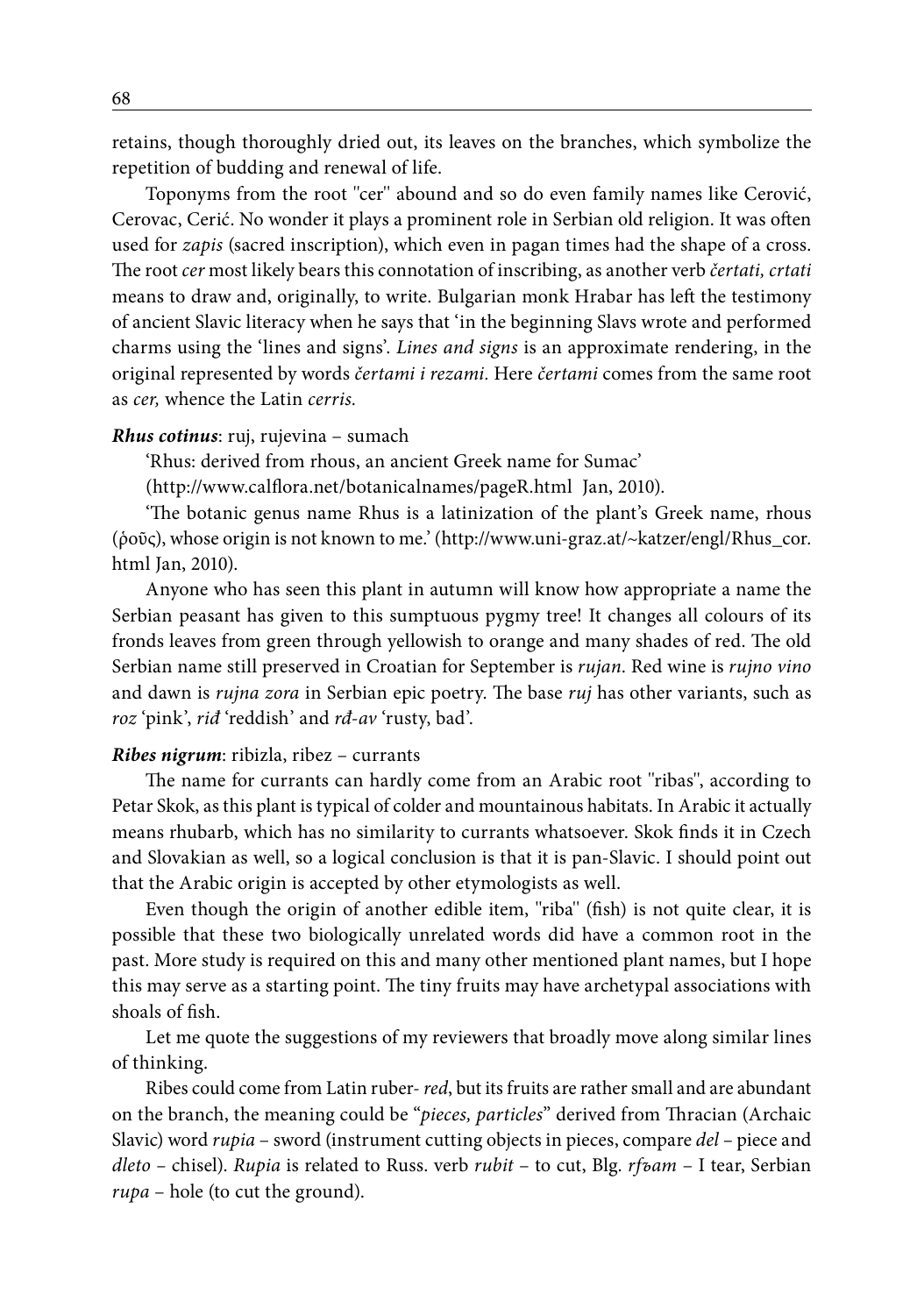retains, though thoroughly dried out, its leaves on the branches, which symbolize the repetition of budding and renewal of life.

Toponyms from the root ''cer'' abound and so do even family names like Cerović, Cerovac, Cerić. No wonder it plays a prominent role in Serbian old religion. It was often used for *zapis* (sacred inscription), which even in pagan times had the shape of a cross. The root *cer* most likely bears this connotation of inscribing, as another verb *čertati, crtati* means to draw and, originally, to write. Bulgarian monk Hrabar has left the testimony of ancient Slavic literacy when he says that 'in the beginning Slavs wrote and performed charms using the 'lines and signs'. *Lines and signs* is an approximate rendering, in the original represented by words *čertami i rezami.* Here *čertami* comes from the same root as *cer,* whence the Latin *cerris.*

#### *Rhus cotinus*: ruj, rujevina – sumach

'Rhus: derived from rhous, an ancient Greek name for Sumac'

(http://www.calflora.net/botanicalnames/pageR.html Jan, 2010).

'The botanic genus name Rhus is a latinization of the plant's Greek name, rhous (ῥοῦς), whose origin is not known to me.' (http://www.uni-graz.at/~katzer/engl/Rhus\_cor. html Jan, 2010).

Anyone who has seen this plant in autumn will know how appropriate a name the Serbian peasant has given to this sumptuous pygmy tree! It changes all colours of its fronds leaves from green through yellowish to orange and many shades of red. The old Serbian name still preserved in Croatian for September is *rujan*. Red wine is *rujno vino* and dawn is *rujna zora* in Serbian epic poetry. The base *ruj* has other variants, such as *roz* 'pink', *riđ* 'reddish' and *rđ-av* 'rusty, bad'.

#### *Ribes nigrum*: ribizla, ribez – currants

The name for currants can hardly come from an Arabic root ''ribas'', according to Petar Skok, as this plant is typical of colder and mountainous habitats. In Arabic it actually means rhubarb, which has no similarity to currants whatsoever. Skok finds it in Czech and Slovakian as well, so a logical conclusion is that it is pan-Slavic. I should point out that the Arabic origin is accepted by other etymologists as well.

Even though the origin of another edible item, ''riba'' (fish) is not quite clear, it is possible that these two biologically unrelated words did have a common root in the past. More study is required on this and many other mentioned plant names, but I hope this may serve as a starting point. The tiny fruits may have archetypal associations with shoals of fish.

Let me quote the suggestions of my reviewers that broadly move along similar lines of thinking.

Ribes could come from Latin ruber- *red*, but its fruits are rather small and are abundant on the branch, the meaning could be "*pieces, particles*" derived from Thracian (Archaic Slavic) word *rupia* – sword (instrument cutting objects in pieces, compare *del –* piece and *dleto –* chisel). *Rupia* is related to Russ. verb *rubit* – to cut, Blg. *rfъam* – I tear, Serbian *rupa* – hole (to cut the ground).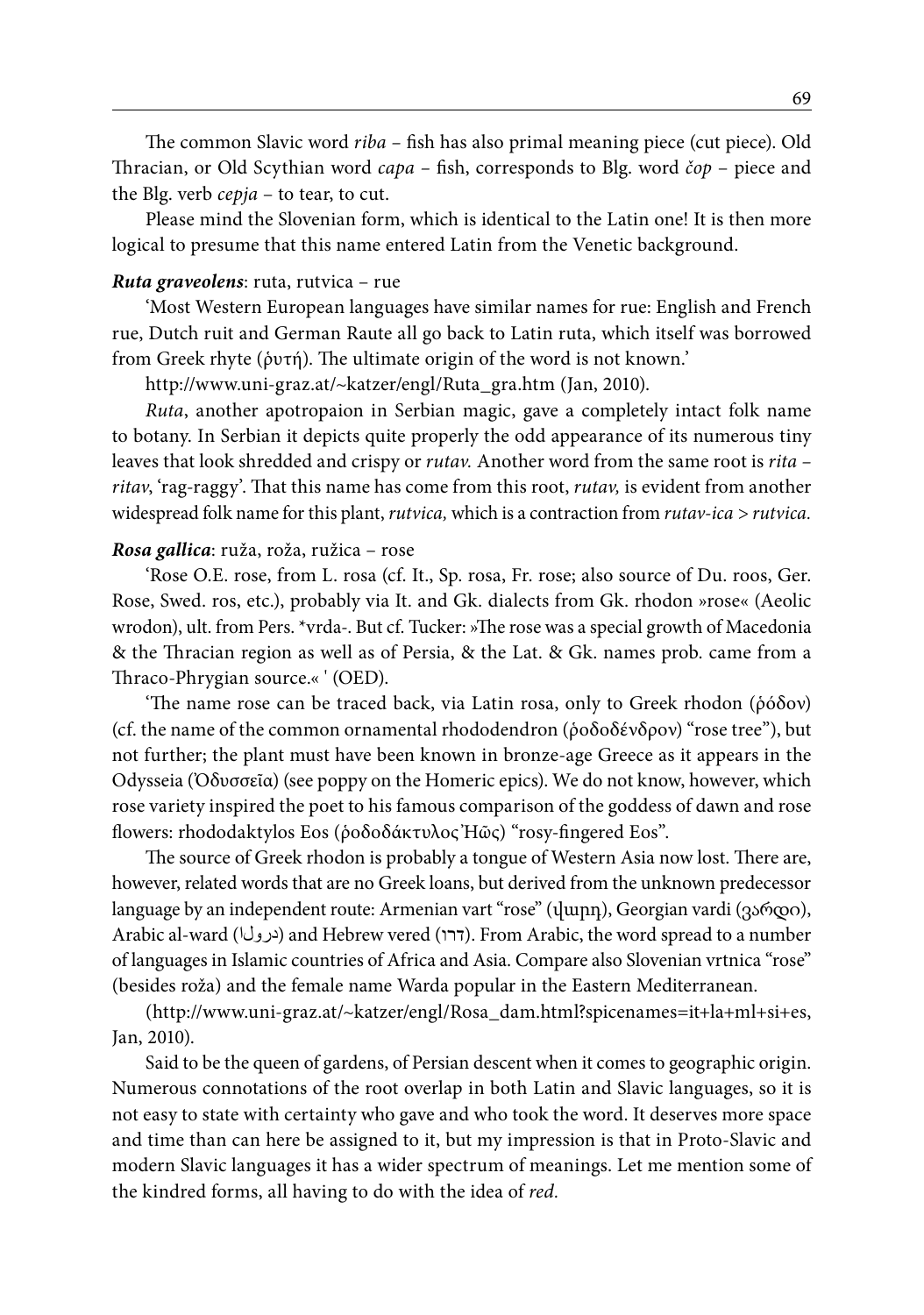The common Slavic word *riba –* fish has also primal meaning piece (cut piece). Old Thracian, or Old Scythian word *capa –* fish, corresponds to Blg. word *čop* – piece and the Blg. verb *cepja* – to tear, to cut.

Please mind the Slovenian form, which is identical to the Latin one! It is then more logical to presume that this name entered Latin from the Venetic background.

#### *Ruta graveolens*: ruta, rutvica – rue

'Most Western European languages have similar names for rue: English and French rue, Dutch ruit and German Raute all go back to Latin ruta, which itself was borrowed from Greek rhyte (ῥυτή). The ultimate origin of the word is not known.'

http://www.uni-graz.at/~katzer/engl/Ruta\_gra.htm (Jan, 2010).

*Ruta*, another apotropaion in Serbian magic, gave a completely intact folk name to botany. In Serbian it depicts quite properly the odd appearance of its numerous tiny leaves that look shredded and crispy or *rutav.* Another word from the same root is *rita – ritav*, 'rag-raggy'. That this name has come from this root, *rutav,* is evident from another widespread folk name for this plant, *rutvica,* which is a contraction from *rutav-ica > rutvica.*

#### *Rosa gallica*: ruža, roža, ružica – rose

'Rose O.E. rose, from L. rosa (cf. It., Sp. rosa, Fr. rose; also source of Du. roos, Ger. Rose, Swed. ros, etc.), probably via It. and Gk. dialects from Gk. rhodon »rose« (Aeolic wrodon), ult. from Pers. \*vrda-. But cf. Tucker: »The rose was a special growth of Macedonia & the Thracian region as well as of Persia, & the Lat. & Gk. names prob. came from a Thraco-Phrygian source.« ' (OED).

'The name rose can be traced back, via Latin rosa, only to Greek rhodon (ῥόδον) (cf. the name of the common ornamental rhododendron (ῥοδοδένδρον) "rose tree"), but not further; the plant must have been known in bronze-age Greece as it appears in the Odysseia (Ὀδυσσεῖα) (see poppy on the Homeric epics). We do not know, however, which rose variety inspired the poet to his famous comparison of the goddess of dawn and rose flowers: rhododaktylos Eos (ῥοδοδάκτυλος Ἠῶς) "rosy-fingered Eos".

The source of Greek rhodon is probably a tongue of Western Asia now lost. There are, however, related words that are no Greek loans, but derived from the unknown predecessor language by an independent route: Armenian vart "rose" (վարդ), Georgian vardi (ვარდი), Arabic al-ward (درولا) and Hebrew vered (דרו). From Arabic, the word spread to a number of languages in Islamic countries of Africa and Asia. Compare also Slovenian vrtnica "rose" (besides roža) and the female name Warda popular in the Eastern Mediterranean.

(http://www.uni-graz.at/~katzer/engl/Rosa\_dam.html?spicenames=it+la+ml+si+es, Jan, 2010).

Said to be the queen of gardens, of Persian descent when it comes to geographic origin. Numerous connotations of the root overlap in both Latin and Slavic languages, so it is not easy to state with certainty who gave and who took the word. It deserves more space and time than can here be assigned to it, but my impression is that in Proto-Slavic and modern Slavic languages it has a wider spectrum of meanings. Let me mention some of the kindred forms, all having to do with the idea of *red.*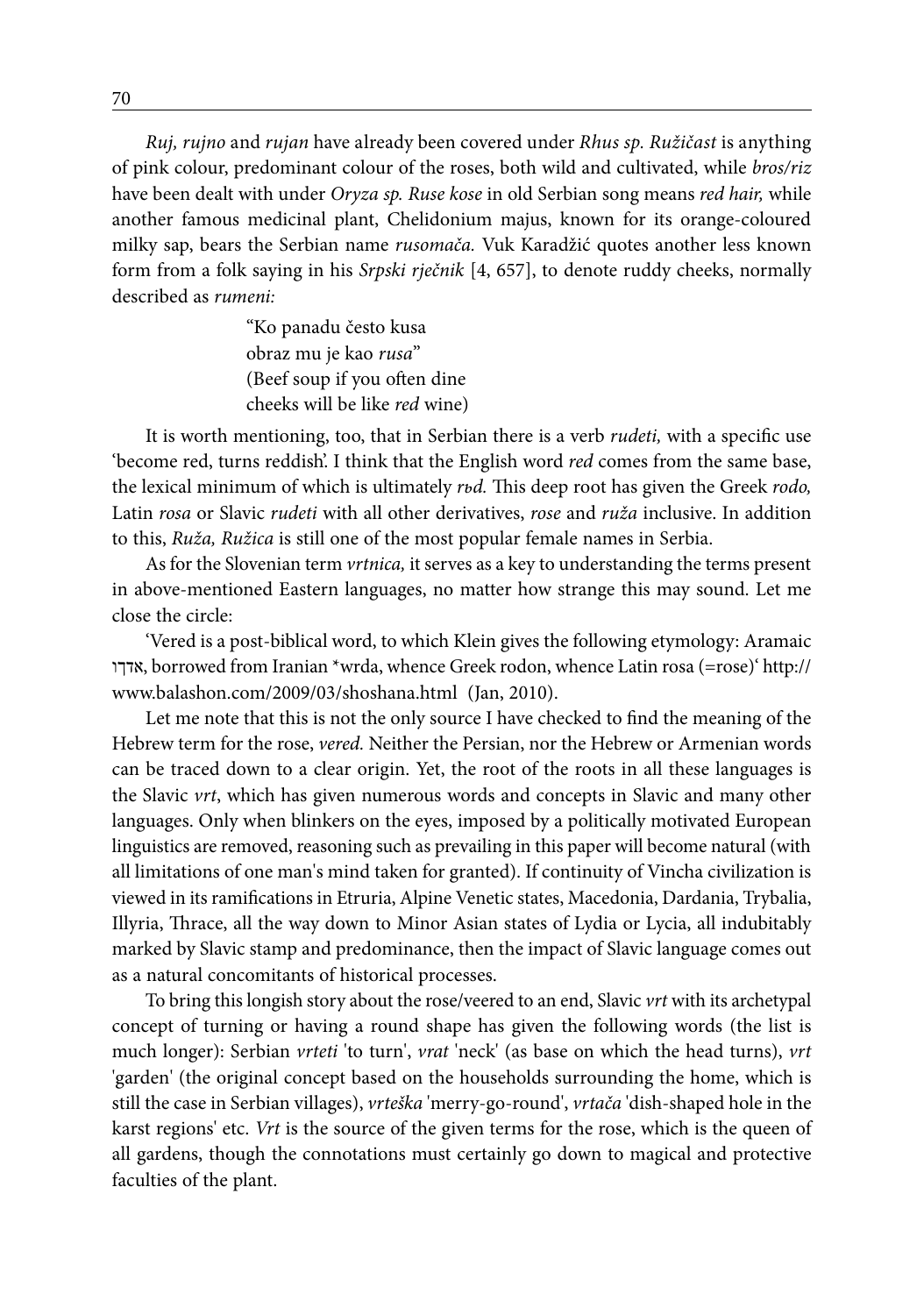*Ruj, rujno* and *rujan* have already been covered under *Rhus sp. Ružičast* is anything of pink colour, predominant colour of the roses, both wild and cultivated, while *bros/riz*  have been dealt with under *Oryza sp. Ruse kose* in old Serbian song means *red hair,* while another famous medicinal plant, Chelidonium majus, known for its orange-coloured milky sap, bears the Serbian name *rusomača.* Vuk Karadžić quotes another less known form from a folk saying in his *Srpski rječnik* [4, 657], to denote ruddy cheeks, normally described as *rumeni:*

> "Ko panadu često kusa obraz mu je kao *rusa*" (Beef soup if you often dine cheeks will be like *red* wine)

It is worth mentioning, too, that in Serbian there is a verb *rudeti,* with a specific use 'become red, turns reddish'. I think that the English word *red* comes from the same base, the lexical minimum of which is ultimately *rьd.* This deep root has given the Greek *rodo,*  Latin *rosa* or Slavic *rudeti* with all other derivatives, *rose* and *ruža* inclusive. In addition to this, *Ruža, Ružica* is still one of the most popular female names in Serbia.

As for the Slovenian term *vrtnica,* it serves as a key to understanding the terms present in above-mentioned Eastern languages, no matter how strange this may sound. Let me close the circle:

'Vered is a post-biblical word, to which Klein gives the following etymology: Aramaic אדךו, borrowed from Iranian \*wrda, whence Greek rodon, whence Latin rosa (=rose)' http:// www.balashon.com/2009/03/shoshana.html (Jan, 2010).

Let me note that this is not the only source I have checked to find the meaning of the Hebrew term for the rose, *vered.* Neither the Persian, nor the Hebrew or Armenian words can be traced down to a clear origin. Yet, the root of the roots in all these languages is the Slavic *vrt*, which has given numerous words and concepts in Slavic and many other languages. Only when blinkers on the eyes, imposed by a politically motivated European linguistics are removed, reasoning such as prevailing in this paper will become natural (with all limitations of one man's mind taken for granted). If continuity of Vincha civilization is viewed in its ramifications in Etruria, Alpine Venetic states, Macedonia, Dardania, Trybalia, Illyria, Thrace, all the way down to Minor Asian states of Lydia or Lycia, all indubitably marked by Slavic stamp and predominance, then the impact of Slavic language comes out as a natural concomitants of historical processes.

To bring this longish story about the rose/veered to an end, Slavic *vrt* with its archetypal concept of turning or having a round shape has given the following words (the list is much longer): Serbian *vrteti* 'to turn', *vrat* 'neck' (as base on which the head turns), *vrt* 'garden' (the original concept based on the households surrounding the home, which is still the case in Serbian villages), *vrteška* 'merry-go-round', *vrtača* 'dish-shaped hole in the karst regions' etc. *Vrt* is the source of the given terms for the rose, which is the queen of all gardens, though the connotations must certainly go down to magical and protective faculties of the plant.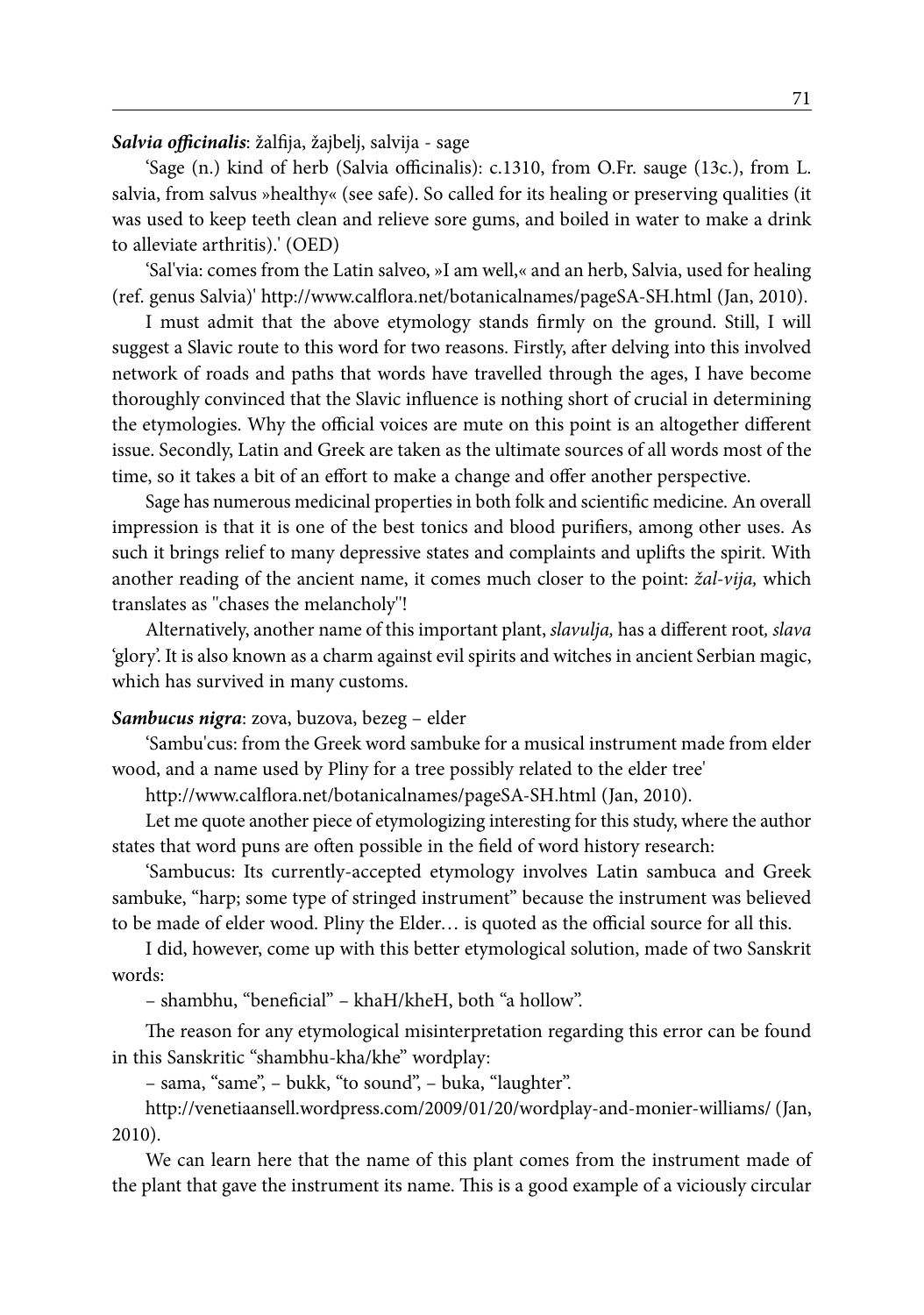*Salvia officinalis*: žalfija, žajbelj, salvija - sage

'Sage (n.) kind of herb (Salvia officinalis): c.1310, from O.Fr. sauge (13c.), from L. salvia, from salvus »healthy« (see safe). So called for its healing or preserving qualities (it was used to keep teeth clean and relieve sore gums, and boiled in water to make a drink to alleviate arthritis).' (OED)

'Sal'via: comes from the Latin salveo, »I am well,« and an herb, Salvia, used for healing (ref. genus Salvia)' http://www.calflora.net/botanicalnames/pageSA-SH.html (Jan, 2010).

I must admit that the above etymology stands firmly on the ground. Still, I will suggest a Slavic route to this word for two reasons. Firstly, after delving into this involved network of roads and paths that words have travelled through the ages, I have become thoroughly convinced that the Slavic influence is nothing short of crucial in determining the etymologies. Why the official voices are mute on this point is an altogether different issue. Secondly, Latin and Greek are taken as the ultimate sources of all words most of the time, so it takes a bit of an effort to make a change and offer another perspective.

Sage has numerous medicinal properties in both folk and scientific medicine. An overall impression is that it is one of the best tonics and blood purifiers, among other uses. As such it brings relief to many depressive states and complaints and uplifts the spirit. With another reading of the ancient name, it comes much closer to the point: *žal-vija,* which translates as ''chases the melancholy''!

Alternatively, another name of this important plant, *slavulja,* has a different root*, slava* 'glory'. It is also known as a charm against evil spirits and witches in ancient Serbian magic, which has survived in many customs.

### *Sambucus nigra*: zova, buzova, bezeg – elder

'Sambu'cus: from the Greek word sambuke for a musical instrument made from elder wood, and a name used by Pliny for a tree possibly related to the elder tree'

http://www.calflora.net/botanicalnames/pageSA-SH.html (Jan, 2010).

Let me quote another piece of etymologizing interesting for this study, where the author states that word puns are often possible in the field of word history research:

'Sambucus: Its currently-accepted etymology involves Latin sambuca and Greek sambuke, "harp; some type of stringed instrument" because the instrument was believed to be made of elder wood. Pliny the Elder… is quoted as the official source for all this.

I did, however, come up with this better etymological solution, made of two Sanskrit words:

– shambhu, "beneficial" – khaH/kheH, both "a hollow".

The reason for any etymological misinterpretation regarding this error can be found in this Sanskritic "shambhu-kha/khe" wordplay:

– sama, "same", – bukk, "to sound", – buka, "laughter".

http://venetiaansell.wordpress.com/2009/01/20/wordplay-and-monier-williams/ (Jan, 2010).

We can learn here that the name of this plant comes from the instrument made of the plant that gave the instrument its name. This is a good example of a viciously circular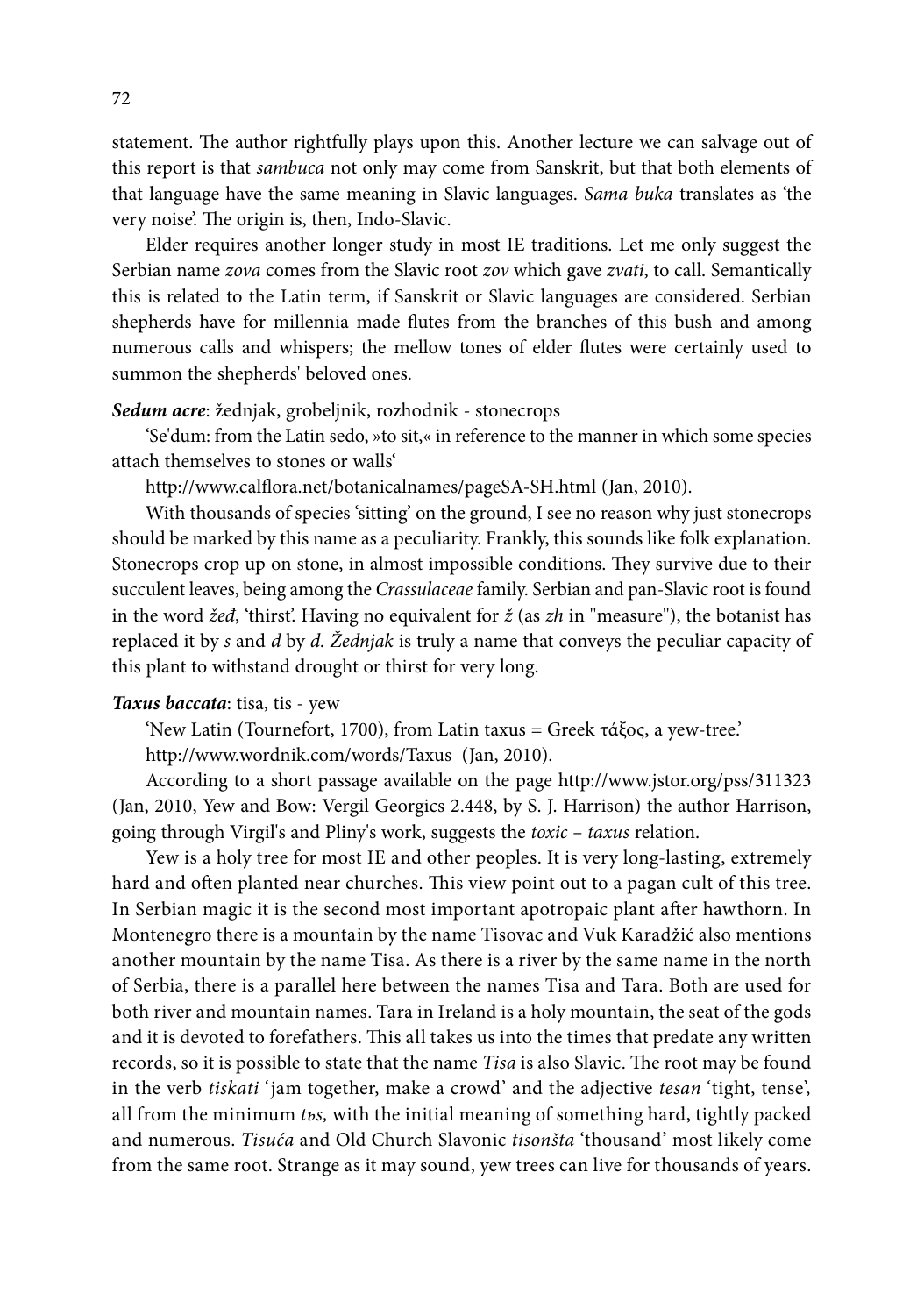statement. The author rightfully plays upon this. Another lecture we can salvage out of this report is that *sambuca* not only may come from Sanskrit, but that both elements of that language have the same meaning in Slavic languages. *Sama buka* translates as 'the very noise'. The origin is, then, Indo-Slavic.

Elder requires another longer study in most IE traditions. Let me only suggest the Serbian name *zova* comes from the Slavic root *zov* which gave *zvati*, to call. Semantically this is related to the Latin term, if Sanskrit or Slavic languages are considered. Serbian shepherds have for millennia made flutes from the branches of this bush and among numerous calls and whispers; the mellow tones of elder flutes were certainly used to summon the shepherds' beloved ones.

#### *Sedum acre*: žednjak, grobeljnik, rozhodnik - stonecrops

'Se'dum: from the Latin sedo, »to sit,« in reference to the manner in which some species attach themselves to stones or walls'

http://www.calflora.net/botanicalnames/pageSA-SH.html (Jan, 2010).

With thousands of species 'sitting' on the ground, I see no reason why just stonecrops should be marked by this name as a peculiarity. Frankly, this sounds like folk explanation. Stonecrops crop up on stone, in almost impossible conditions. They survive due to their succulent leaves, being among the *Crassulaceae* family. Serbian and pan-Slavic root is found in the word *žeđ*, 'thirst'. Having no equivalent for *ž* (as *zh* in ''measure''), the botanist has replaced it by *s* and *đ* by *d. Žednjak* is truly a name that conveys the peculiar capacity of this plant to withstand drought or thirst for very long.

#### *Taxus baccata*: tisa, tis - yew

'New Latin (Tournefort, 1700), from Latin taxus = Greek τάξος, a yew-tree.'

http://www.wordnik.com/words/Taxus (Jan, 2010).

According to a short passage available on the page http://www.jstor.org/pss/311323 (Jan, 2010, Yew and Bow: Vergil Georgics 2.448, by S. J. Harrison) the author Harrison, going through Virgil's and Pliny's work, suggests the *toxic – taxus* relation.

Yew is a holy tree for most IE and other peoples. It is very long-lasting, extremely hard and often planted near churches. This view point out to a pagan cult of this tree. In Serbian magic it is the second most important apotropaic plant after hawthorn. In Montenegro there is a mountain by the name Tisovac and Vuk Karadžić also mentions another mountain by the name Tisa. As there is a river by the same name in the north of Serbia, there is a parallel here between the names Tisa and Tara. Both are used for both river and mountain names. Tara in Ireland is a holy mountain, the seat of the gods and it is devoted to forefathers. This all takes us into the times that predate any written records, so it is possible to state that the name *Tisa* is also Slavic. The root may be found in the verb *tiskati* 'jam together, make a crowd' and the adjective *tesan* 'tight, tense'*,*  all from the minimum *tьs,* with the initial meaning of something hard, tightly packed and numerous. *Tisuća* and Old Church Slavonic *tisonšta* 'thousand' most likely come from the same root. Strange as it may sound, yew trees can live for thousands of years.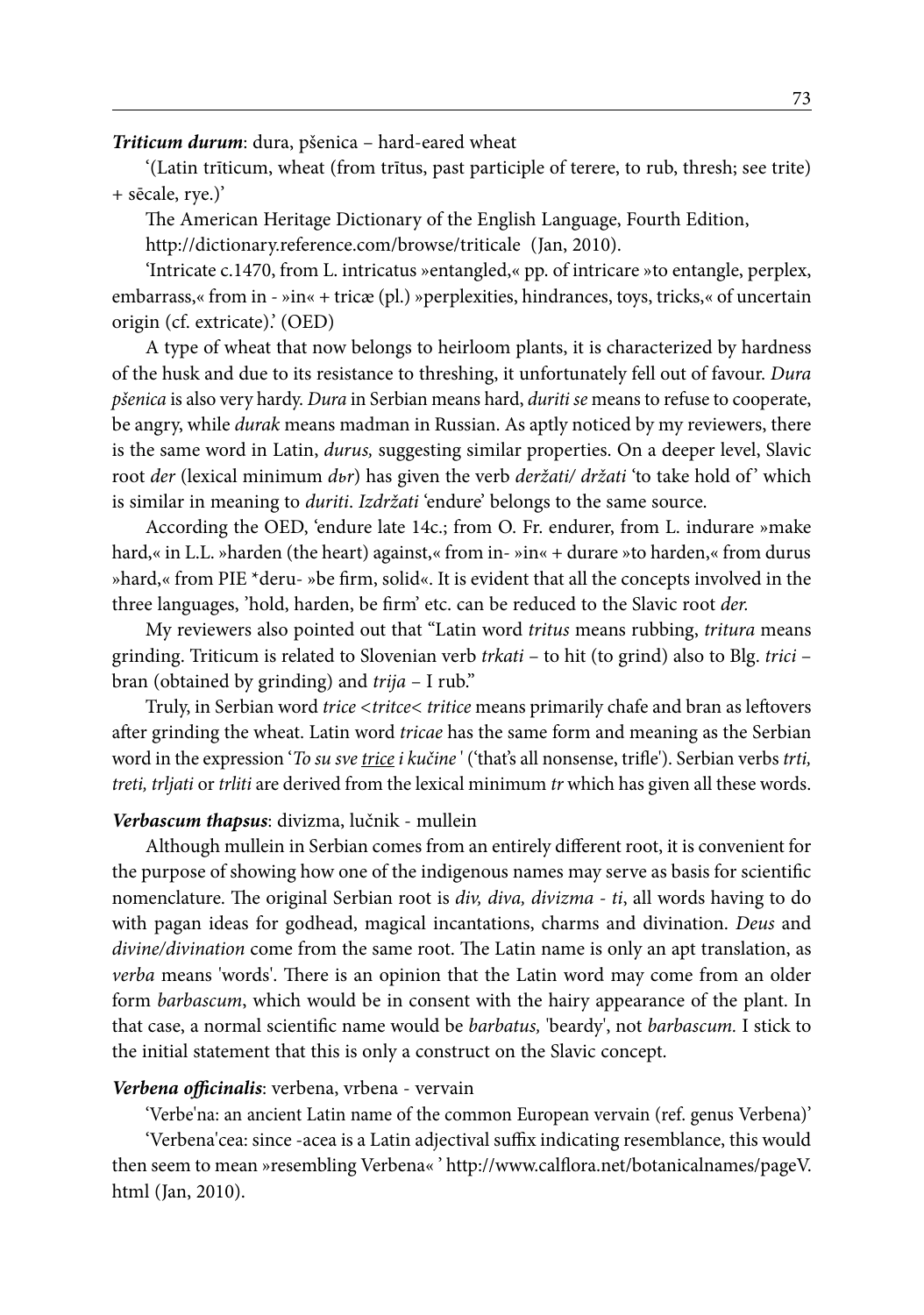*Triticum durum*: dura, pšenica – hard-eared wheat

'(Latin trīticum, wheat (from trītus, past participle of terere, to rub, thresh; see trite) + sēcale, rye.)'

The American Heritage Dictionary of the English Language, Fourth Edition,

http://dictionary.reference.com/browse/triticale (Jan, 2010).

'Intricate c.1470, from L. intricatus »entangled,« pp. of intricare »to entangle, perplex, embarrass,« from in - »in« + tricæ (pl.) »perplexities, hindrances, toys, tricks,« of uncertain origin (cf. extricate).' (OED)

A type of wheat that now belongs to heirloom plants, it is characterized by hardness of the husk and due to its resistance to threshing, it unfortunately fell out of favour. *Dura pšenica* is also very hardy. *Dura* in Serbian means hard, *duriti se* means to refuse to cooperate, be angry, while *durak* means madman in Russian. As aptly noticed by my reviewers, there is the same word in Latin, *durus,* suggesting similar properties. On a deeper level, Slavic root *der* (lexical minimum *dvr*) has given the verb *deržati/ držati* 'to take hold of' which is similar in meaning to *duriti*. *Izdržati* 'endure' belongs to the same source.

According the OED, 'endure late 14c.; from O. Fr. endurer, from L. indurare »make hard,« in L.L. »harden (the heart) against,« from in- »in« + durare »to harden,« from durus »hard,« from PIE \*deru- »be firm, solid«. It is evident that all the concepts involved in the three languages, 'hold, harden, be firm' etc. can be reduced to the Slavic root *der.*

My reviewers also pointed out that "Latin word *tritus* means rubbing, *tritura* means grinding. Triticum is related to Slovenian verb *trkati* – to hit (to grind) also to Blg. *trici* – bran (obtained by grinding) and *trija* – I rub."

Truly, in Serbian word *trice <tritce< tritice* means primarily chafe and bran as leftovers after grinding the wheat. Latin word *tricae* has the same form and meaning as the Serbian word in the expression '*To su sve trice i kučine* ' ('that's all nonsense, trifle'). Serbian verbs *trti, treti, trljati* or *trliti* are derived from the lexical minimum *tr* which has given all these words.

#### *Verbascum thapsus*: divizma, lučnik - mullein

Although mullein in Serbian comes from an entirely different root, it is convenient for the purpose of showing how one of the indigenous names may serve as basis for scientific nomenclature. The original Serbian root is *div, diva, divizma - ti*, all words having to do with pagan ideas for godhead, magical incantations, charms and divination. *Deus* and *divine/divination* come from the same root. The Latin name is only an apt translation, as *verba* means 'words'. There is an opinion that the Latin word may come from an older form *barbascum*, which would be in consent with the hairy appearance of the plant. In that case, a normal scientific name would be *barbatus,* 'beardy', not *barbascum.* I stick to the initial statement that this is only a construct on the Slavic concept.

#### *Verbena officinalis*: verbena, vrbena - vervain

'Verbe'na: an ancient Latin name of the common European vervain (ref. genus Verbena)'

'Verbena'cea: since -acea is a Latin adjectival suffix indicating resemblance, this would then seem to mean »resembling Verbena« ' http://www.calflora.net/botanicalnames/pageV. html (Jan, 2010).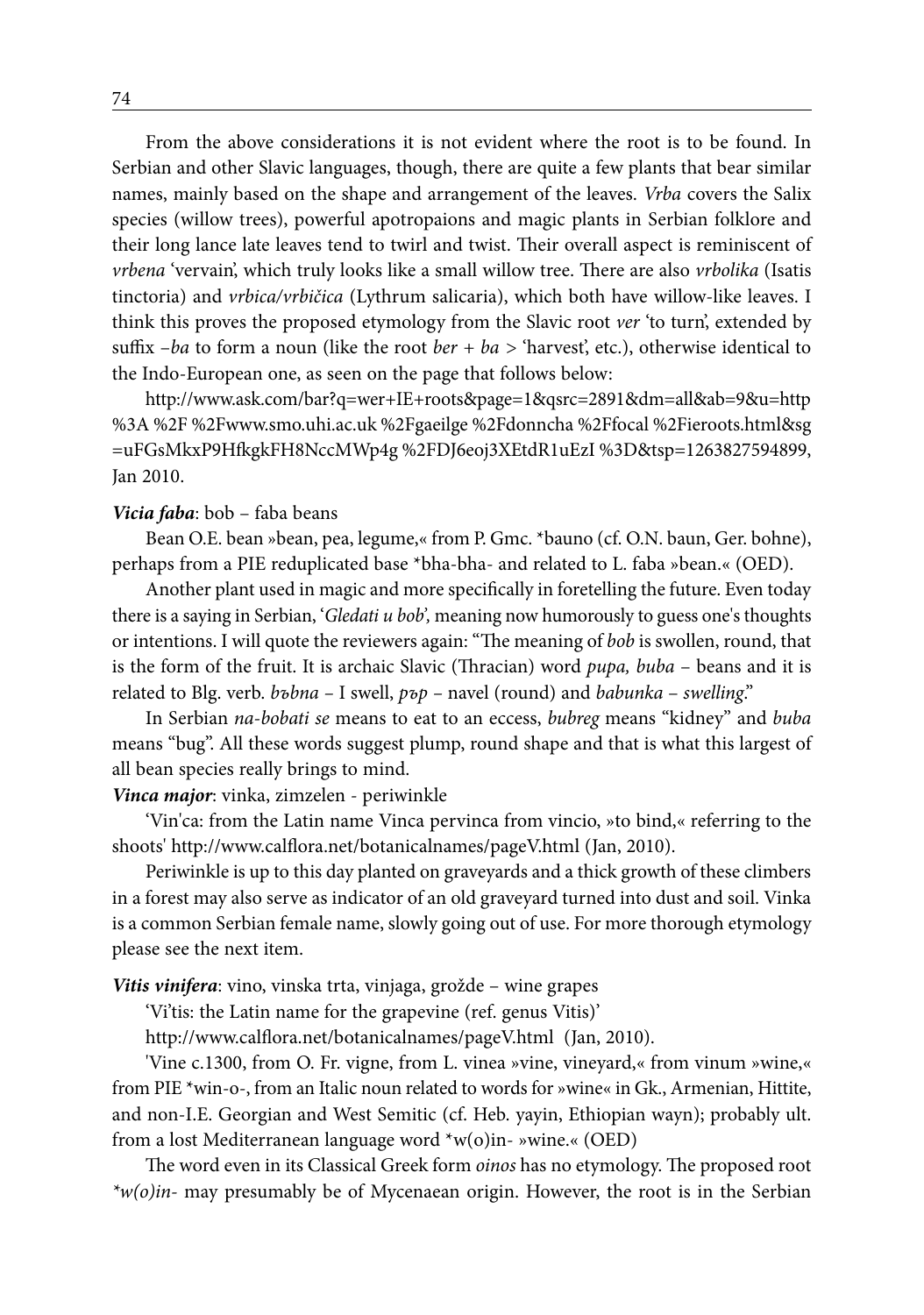From the above considerations it is not evident where the root is to be found. In Serbian and other Slavic languages, though, there are quite a few plants that bear similar names, mainly based on the shape and arrangement of the leaves. *Vrba* covers the Salix species (willow trees), powerful apotropaions and magic plants in Serbian folklore and their long lance late leaves tend to twirl and twist. Their overall aspect is reminiscent of *vrbena* 'vervain', which truly looks like a small willow tree. There are also *vrbolika* (Isatis tinctoria) and *vrbica/vrbičica* (Lythrum salicaria), which both have willow-like leaves. I think this proves the proposed etymology from the Slavic root *ver* 'to turn', extended by suffix –*ba* to form a noun (like the root *ber + ba >* 'harvest', etc.), otherwise identical to the Indo-European one, as seen on the page that follows below:

http://www.ask.com/bar?q=wer+IE+roots&page=1&qsrc=2891&dm=all&ab=9&u=http %3A %2F %2Fwww.smo.uhi.ac.uk %2Fgaeilge %2Fdonncha %2Ffocal %2Fieroots.html&sg =uFGsMkxP9HfkgkFH8NccMWp4g %2FDJ6eoj3XEtdR1uEzI %3D&tsp=1263827594899, Jan 2010.

#### *Vicia faba*: bob – faba beans

Bean O.E. bean »bean, pea, legume,« from P. Gmc. \*bauno (cf. O.N. baun, Ger. bohne), perhaps from a PIE reduplicated base \*bha-bha- and related to L. faba »bean.« (OED).

Another plant used in magic and more specifically in foretelling the future. Even today there is a saying in Serbian, '*Gledati u bob',* meaning now humorously to guess one's thoughts or intentions. I will quote the reviewers again: "The meaning of *bob* is swollen, round, that is the form of the fruit. It is archaic Slavic (Thracian) word *pupa, buba* – beans and it is related to Blg. verb. *bъbna –* I swell, *pъp –* navel (round) and *babunka* – *swelling*."

In Serbian *na-bobati se* means to eat to an eccess, *bubreg* means "kidney" and *buba* means "bug". All these words suggest plump, round shape and that is what this largest of all bean species really brings to mind.

#### *Vinca major*: vinka, zimzelen - periwinkle

'Vin'ca: from the Latin name Vinca pervinca from vincio, »to bind,« referring to the shoots' http://www.calflora.net/botanicalnames/pageV.html (Jan, 2010).

Periwinkle is up to this day planted on graveyards and a thick growth of these climbers in a forest may also serve as indicator of an old graveyard turned into dust and soil. Vinka is a common Serbian female name, slowly going out of use. For more thorough etymology please see the next item.

*Vitis vinifera*: vino, vinska trta, vinjaga, grožde – wine grapes

'Vi'tis: the Latin name for the grapevine (ref. genus Vitis)'

http://www.calflora.net/botanicalnames/pageV.html (Jan, 2010).

'Vine c.1300, from O. Fr. vigne, from L. vinea »vine, vineyard,« from vinum »wine,« from PIE \*win-o-, from an Italic noun related to words for »wine« in Gk., Armenian, Hittite, and non-I.E. Georgian and West Semitic (cf. Heb. yayin, Ethiopian wayn); probably ult. from a lost Mediterranean language word \*w(o)in- »wine.« (OED)

The word even in its Classical Greek form *oinos* has no etymology. The proposed root *\*w(o)in-* may presumably be of Mycenaean origin. However, the root is in the Serbian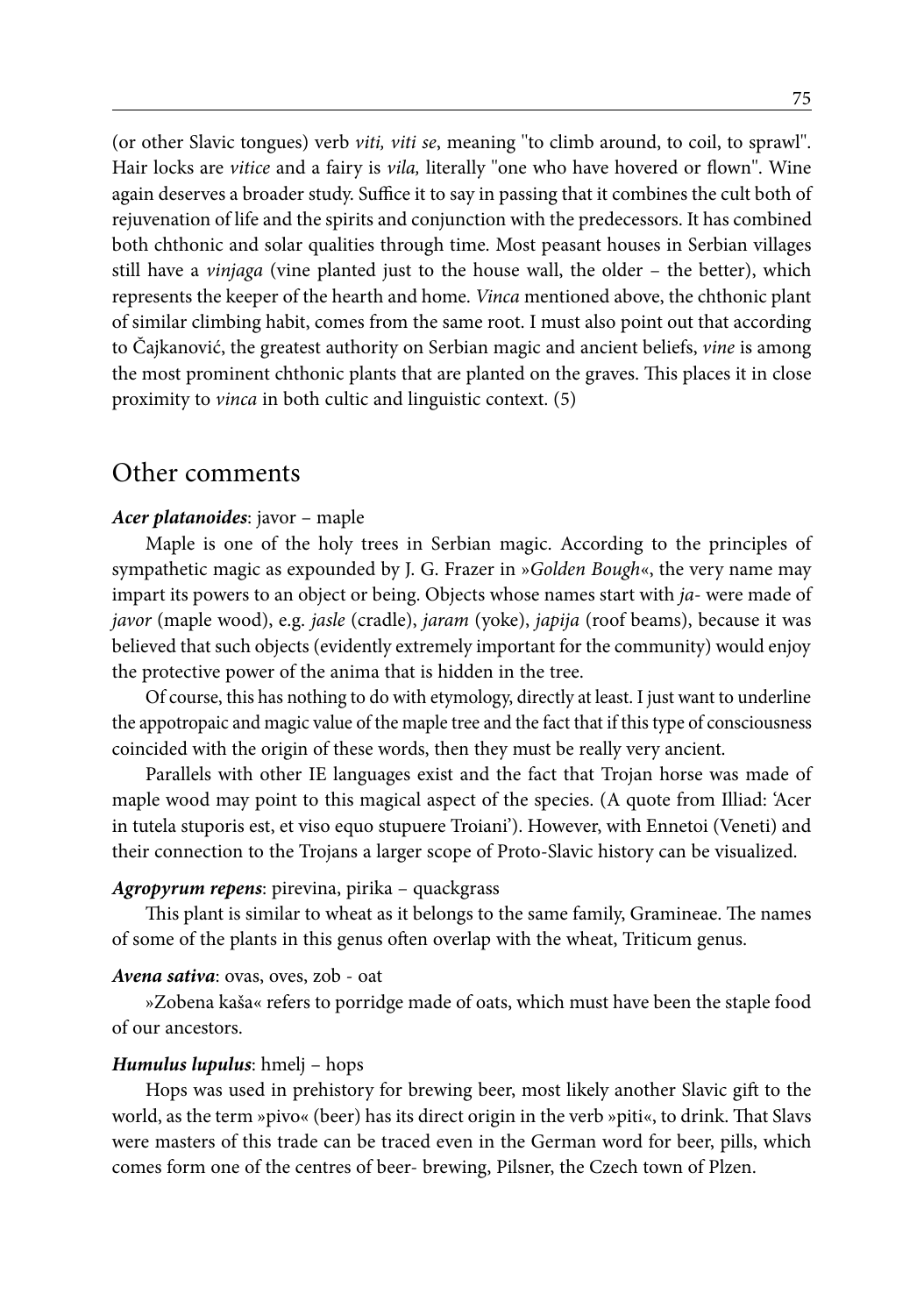(or other Slavic tongues) verb *viti, viti se*, meaning ''to climb around, to coil, to sprawl''. Hair locks are *vitice* and a fairy is *vila,* literally ''one who have hovered or flown''. Wine again deserves a broader study. Suffice it to say in passing that it combines the cult both of rejuvenation of life and the spirits and conjunction with the predecessors. It has combined both chthonic and solar qualities through time. Most peasant houses in Serbian villages still have a *vinjaga* (vine planted just to the house wall, the older – the better), which represents the keeper of the hearth and home. *Vinca* mentioned above, the chthonic plant of similar climbing habit, comes from the same root. I must also point out that according to Čajkanović, the greatest authority on Serbian magic and ancient beliefs, *vine* is among the most prominent chthonic plants that are planted on the graves. This places it in close proximity to *vinca* in both cultic and linguistic context. (5)

# Other comments

#### *Acer platanoides*: javor – maple

Maple is one of the holy trees in Serbian magic. According to the principles of sympathetic magic as expounded by J. G. Frazer in »*Golden Bough*«, the very name may impart its powers to an object or being. Objects whose names start with *ja*- were made of *javor* (maple wood), e.g. *jasle* (cradle), *jaram* (yoke), *japija* (roof beams), because it was believed that such objects (evidently extremely important for the community) would enjoy the protective power of the anima that is hidden in the tree.

Of course, this has nothing to do with etymology, directly at least. I just want to underline the appotropaic and magic value of the maple tree and the fact that if this type of consciousness coincided with the origin of these words, then they must be really very ancient.

Parallels with other IE languages exist and the fact that Trojan horse was made of maple wood may point to this magical aspect of the species. (A quote from Illiad: 'Acer in tutela stuporis est, et viso equo stupuere Troiani'). However, with Ennetoi (Veneti) and their connection to the Trojans a larger scope of Proto-Slavic history can be visualized.

#### *Agropyrum repens*: pirevina, pirika – quackgrass

This plant is similar to wheat as it belongs to the same family, Gramineae. The names of some of the plants in this genus often overlap with the wheat, Triticum genus.

#### *Avena sativa*: ovas, oves, zob - oat

»Zobena kaša« refers to porridge made of oats, which must have been the staple food of our ancestors.

#### *Humulus lupulus*: hmelj – hops

Hops was used in prehistory for brewing beer, most likely another Slavic gift to the world, as the term »pivo« (beer) has its direct origin in the verb »piti«, to drink. That Slavs were masters of this trade can be traced even in the German word for beer, pills, which comes form one of the centres of beer- brewing, Pilsner, the Czech town of Plzen.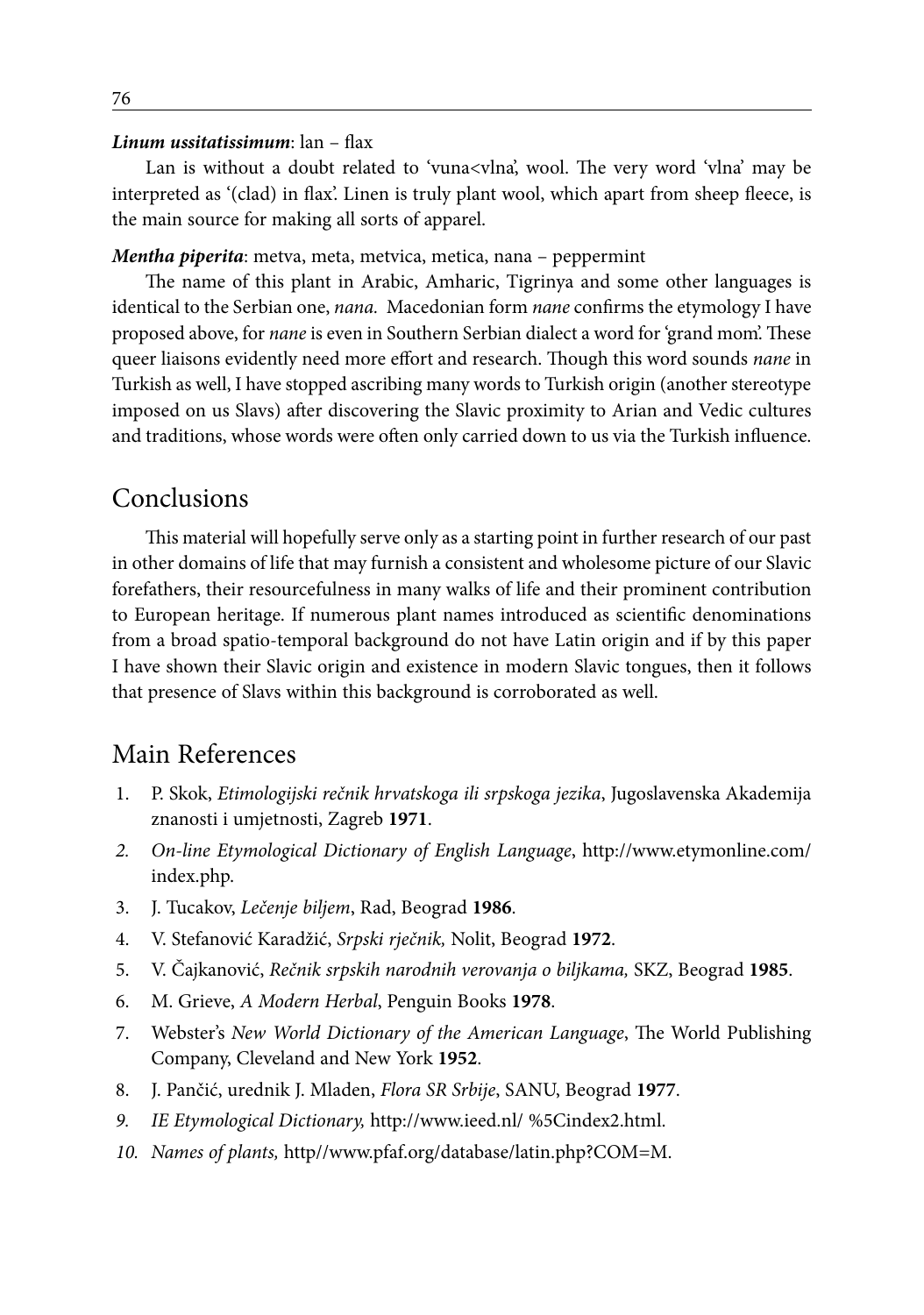#### *Linum ussitatissimum*: lan – flax

Lan is without a doubt related to 'vuna<vlna', wool. The very word 'vlna' may be interpreted as '(clad) in flax'. Linen is truly plant wool, which apart from sheep fleece, is the main source for making all sorts of apparel.

#### *Mentha piperita*: metva, meta, metvica, metica, nana – peppermint

The name of this plant in Arabic, Amharic, Tigrinya and some other languages is identical to the Serbian one, *nana.* Macedonian form *nane* confirms the etymology I have proposed above, for *nane* is even in Southern Serbian dialect a word for 'grand mom'. These queer liaisons evidently need more effort and research. Though this word sounds *nane* in Turkish as well, I have stopped ascribing many words to Turkish origin (another stereotype imposed on us Slavs) after discovering the Slavic proximity to Arian and Vedic cultures and traditions, whose words were often only carried down to us via the Turkish influence.

## Conclusions

This material will hopefully serve only as a starting point in further research of our past in other domains of life that may furnish a consistent and wholesome picture of our Slavic forefathers, their resourcefulness in many walks of life and their prominent contribution to European heritage. If numerous plant names introduced as scientific denominations from a broad spatio-temporal background do not have Latin origin and if by this paper I have shown their Slavic origin and existence in modern Slavic tongues, then it follows that presence of Slavs within this background is corroborated as well.

# Main References

- 1. P. Skok, *Etimologijski rečnik hrvatskoga ili srpskoga jezika*, Jugoslavenska Akademija znanosti i umjetnosti, Zagreb **1971**.
- *2. On-line Etymological Dictionary of English Language*, http://www.etymonline.com/ index.php.
- 3. J. Tucakov, *Lečenje biljem*, Rad, Beograd **1986**.
- 4. V. Stefanović Karadžić, *Srpski rječnik,* Nolit, Beograd **1972**.
- 5. V. Čajkanović, *Rečnik srpskih narodnih verovanja o biljkama,* SKZ, Beograd **1985**.
- 6. M. Grieve, *A Modern Herbal*, Penguin Books **1978**.
- 7. Webster's *New World Dictionary of the American Language*, The World Publishing Company, Cleveland and New York **1952**.
- 8. J. Pančić, urednik J. Mladen, *Flora SR Srbije*, SANU, Beograd **1977**.
- *9. IE Etymological Dictionary,* http://www.ieed.nl/ %5Cindex2.html.
- *10. Names of plants,* http//www.pfaf.org/database/latin.php?COM=M.